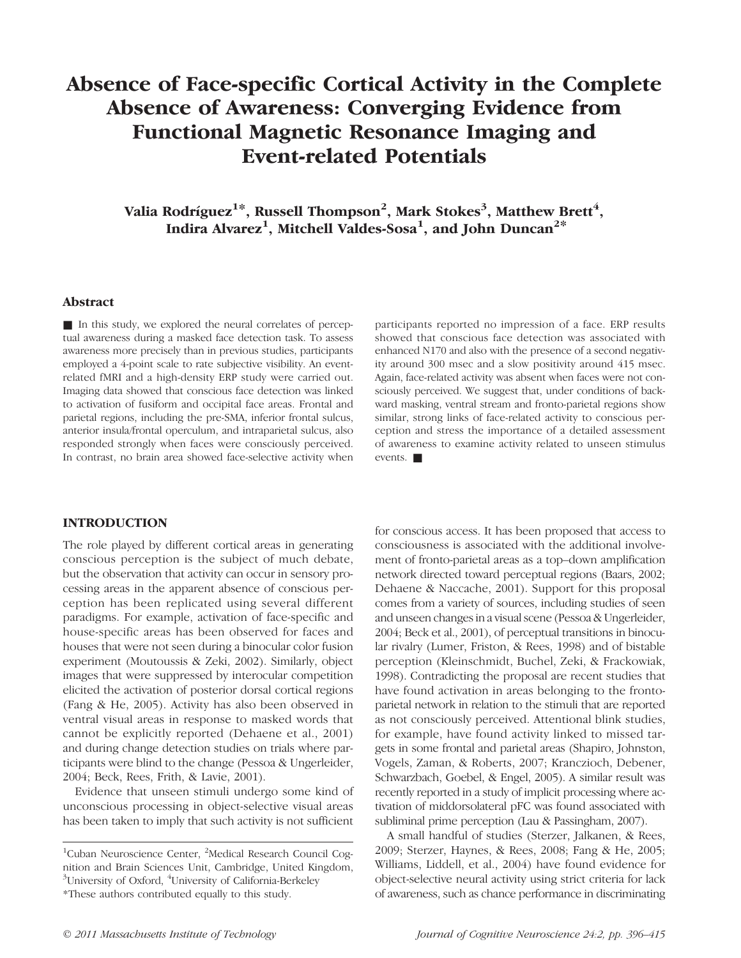# Absence of Face-specific Cortical Activity in the Complete Absence of Awareness: Converging Evidence from Functional Magnetic Resonance Imaging and Event-related Potentials

Valia Rodríguez $^{1*}$ , Russell Thompson $^2$ , Mark Stokes $^3$ , Matthew Brett $^4$ , Indira Alvarez<sup>1</sup>, Mitchell Valdes-Sosa<sup>1</sup>, and John Duncan<sup>2\*</sup>

## Abstract

■ In this study, we explored the neural correlates of perceptual awareness during a masked face detection task. To assess awareness more precisely than in previous studies, participants employed a 4-point scale to rate subjective visibility. An eventrelated fMRI and a high-density ERP study were carried out. Imaging data showed that conscious face detection was linked to activation of fusiform and occipital face areas. Frontal and parietal regions, including the pre-SMA, inferior frontal sulcus, anterior insula/frontal operculum, and intraparietal sulcus, also responded strongly when faces were consciously perceived. In contrast, no brain area showed face-selective activity when

## participants reported no impression of a face. ERP results showed that conscious face detection was associated with enhanced N170 and also with the presence of a second negativity around 300 msec and a slow positivity around 415 msec. Again, face-related activity was absent when faces were not consciously perceived. We suggest that, under conditions of backward masking, ventral stream and fronto-parietal regions show similar, strong links of face-related activity to conscious perception and stress the importance of a detailed assessment of awareness to examine activity related to unseen stimulus events. ■

#### INTRODUCTION

The role played by different cortical areas in generating conscious perception is the subject of much debate, but the observation that activity can occur in sensory processing areas in the apparent absence of conscious perception has been replicated using several different paradigms. For example, activation of face-specific and house-specific areas has been observed for faces and houses that were not seen during a binocular color fusion experiment (Moutoussis & Zeki, 2002). Similarly, object images that were suppressed by interocular competition elicited the activation of posterior dorsal cortical regions (Fang & He, 2005). Activity has also been observed in ventral visual areas in response to masked words that cannot be explicitly reported (Dehaene et al., 2001) and during change detection studies on trials where participants were blind to the change (Pessoa & Ungerleider, 2004; Beck, Rees, Frith, & Lavie, 2001).

Evidence that unseen stimuli undergo some kind of unconscious processing in object-selective visual areas has been taken to imply that such activity is not sufficient

for conscious access. It has been proposed that access to consciousness is associated with the additional involvement of fronto-parietal areas as a top–down amplification network directed toward perceptual regions (Baars, 2002; Dehaene & Naccache, 2001). Support for this proposal comes from a variety of sources, including studies of seen and unseen changes in a visual scene (Pessoa & Ungerleider, 2004; Beck et al., 2001), of perceptual transitions in binocular rivalry (Lumer, Friston, & Rees, 1998) and of bistable perception (Kleinschmidt, Buchel, Zeki, & Frackowiak, 1998). Contradicting the proposal are recent studies that have found activation in areas belonging to the frontoparietal network in relation to the stimuli that are reported as not consciously perceived. Attentional blink studies, for example, have found activity linked to missed targets in some frontal and parietal areas (Shapiro, Johnston, Vogels, Zaman, & Roberts, 2007; Kranczioch, Debener, Schwarzbach, Goebel, & Engel, 2005). A similar result was recently reported in a study of implicit processing where activation of middorsolateral pFC was found associated with subliminal prime perception (Lau & Passingham, 2007).

A small handful of studies (Sterzer, Jalkanen, & Rees, 2009; Sterzer, Haynes, & Rees, 2008; Fang & He, 2005; Williams, Liddell, et al., 2004) have found evidence for object-selective neural activity using strict criteria for lack of awareness, such as chance performance in discriminating

<sup>&</sup>lt;sup>1</sup>Cuban Neuroscience Center, <sup>2</sup>Medical Research Council Cognition and Brain Sciences Unit, Cambridge, United Kingdom, <sup>3</sup>University of Oxford, <sup>4</sup>University of California-Berkeley

<sup>\*</sup>These authors contributed equally to this study.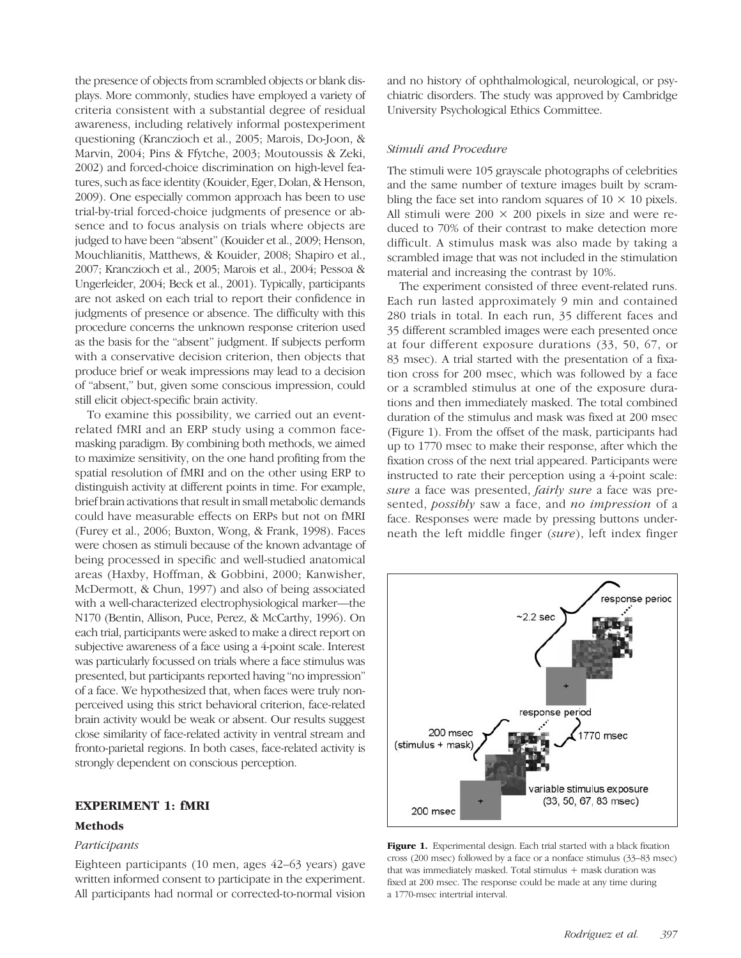the presence of objects from scrambled objects or blank displays. More commonly, studies have employed a variety of criteria consistent with a substantial degree of residual awareness, including relatively informal postexperiment questioning (Kranczioch et al., 2005; Marois, Do-Joon, & Marvin, 2004; Pins & Ffytche, 2003; Moutoussis & Zeki, 2002) and forced-choice discrimination on high-level features, such as face identity (Kouider, Eger, Dolan, & Henson, 2009). One especially common approach has been to use trial-by-trial forced-choice judgments of presence or absence and to focus analysis on trials where objects are judged to have been "absent" (Kouider et al., 2009; Henson, Mouchlianitis, Matthews, & Kouider, 2008; Shapiro et al., 2007; Kranczioch et al., 2005; Marois et al., 2004; Pessoa & Ungerleider, 2004; Beck et al., 2001). Typically, participants are not asked on each trial to report their confidence in judgments of presence or absence. The difficulty with this procedure concerns the unknown response criterion used as the basis for the "absent" judgment. If subjects perform with a conservative decision criterion, then objects that produce brief or weak impressions may lead to a decision of "absent," but, given some conscious impression, could still elicit object-specific brain activity.

To examine this possibility, we carried out an eventrelated fMRI and an ERP study using a common facemasking paradigm. By combining both methods, we aimed to maximize sensitivity, on the one hand profiting from the spatial resolution of fMRI and on the other using ERP to distinguish activity at different points in time. For example, brief brain activations that result in small metabolic demands could have measurable effects on ERPs but not on fMRI (Furey et al., 2006; Buxton, Wong, & Frank, 1998). Faces were chosen as stimuli because of the known advantage of being processed in specific and well-studied anatomical areas (Haxby, Hoffman, & Gobbini, 2000; Kanwisher, McDermott, & Chun, 1997) and also of being associated with a well-characterized electrophysiological marker—the N170 (Bentin, Allison, Puce, Perez, & McCarthy, 1996). On each trial, participants were asked to make a direct report on subjective awareness of a face using a 4-point scale. Interest was particularly focussed on trials where a face stimulus was presented, but participants reported having "no impression" of a face. We hypothesized that, when faces were truly nonperceived using this strict behavioral criterion, face-related brain activity would be weak or absent. Our results suggest close similarity of face-related activity in ventral stream and fronto-parietal regions. In both cases, face-related activity is strongly dependent on conscious perception.

## EXPERIMENT 1: fMRI

## Methods

#### Participants

Eighteen participants (10 men, ages 42–63 years) gave written informed consent to participate in the experiment. All participants had normal or corrected-to-normal vision and no history of ophthalmological, neurological, or psychiatric disorders. The study was approved by Cambridge University Psychological Ethics Committee.

#### Stimuli and Procedure

The stimuli were 105 grayscale photographs of celebrities and the same number of texture images built by scrambling the face set into random squares of  $10 \times 10$  pixels. All stimuli were  $200 \times 200$  pixels in size and were reduced to 70% of their contrast to make detection more difficult. A stimulus mask was also made by taking a scrambled image that was not included in the stimulation material and increasing the contrast by 10%.

The experiment consisted of three event-related runs. Each run lasted approximately 9 min and contained 280 trials in total. In each run, 35 different faces and 35 different scrambled images were each presented once at four different exposure durations (33, 50, 67, or 83 msec). A trial started with the presentation of a fixation cross for 200 msec, which was followed by a face or a scrambled stimulus at one of the exposure durations and then immediately masked. The total combined duration of the stimulus and mask was fixed at 200 msec (Figure 1). From the offset of the mask, participants had up to 1770 msec to make their response, after which the fixation cross of the next trial appeared. Participants were instructed to rate their perception using a 4-point scale: sure a face was presented, *fairly sure* a face was presented, possibly saw a face, and no impression of a face. Responses were made by pressing buttons underneath the left middle finger (sure), left index finger



Figure 1. Experimental design. Each trial started with a black fixation cross (200 msec) followed by a face or a nonface stimulus (33–83 msec) that was immediately masked. Total stimulus + mask duration was fixed at 200 msec. The response could be made at any time during a 1770-msec intertrial interval.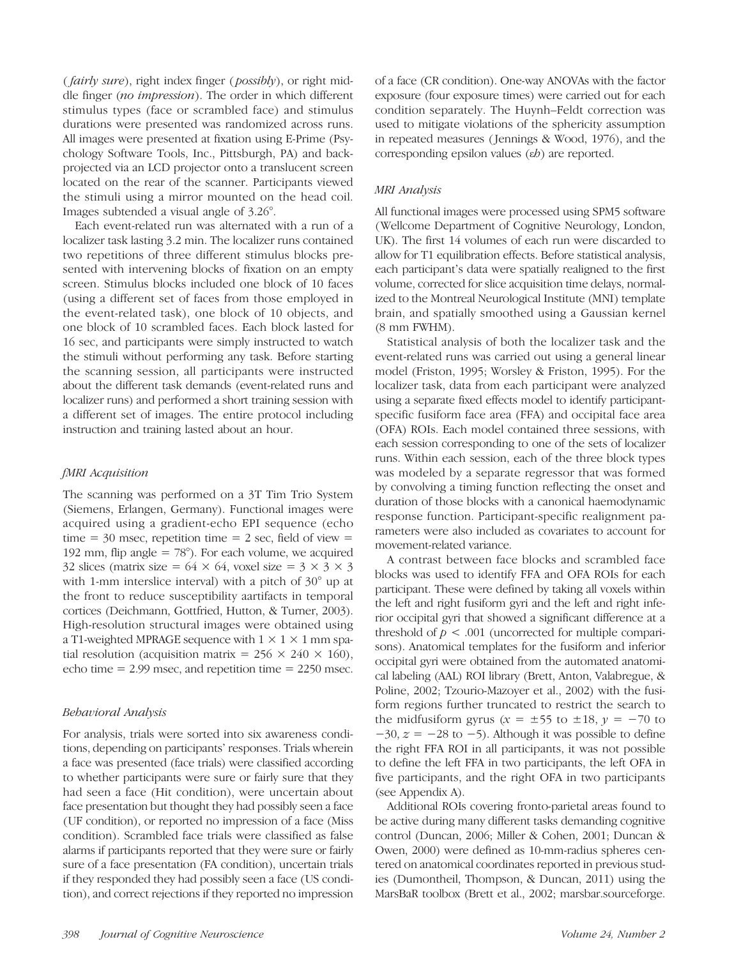( $fairly sure$ ), right index finger ( $possibly$ ), or right middle finger (no impression). The order in which different stimulus types (face or scrambled face) and stimulus durations were presented was randomized across runs. All images were presented at fixation using E-Prime (Psychology Software Tools, Inc., Pittsburgh, PA) and backprojected via an LCD projector onto a translucent screen located on the rear of the scanner. Participants viewed the stimuli using a mirror mounted on the head coil. Images subtended a visual angle of 3.26°.

Each event-related run was alternated with a run of a localizer task lasting 3.2 min. The localizer runs contained two repetitions of three different stimulus blocks presented with intervening blocks of fixation on an empty screen. Stimulus blocks included one block of 10 faces (using a different set of faces from those employed in the event-related task), one block of 10 objects, and one block of 10 scrambled faces. Each block lasted for 16 sec, and participants were simply instructed to watch the stimuli without performing any task. Before starting the scanning session, all participants were instructed about the different task demands (event-related runs and localizer runs) and performed a short training session with a different set of images. The entire protocol including instruction and training lasted about an hour.

## fMRI Acquisition

The scanning was performed on a 3T Tim Trio System (Siemens, Erlangen, Germany). Functional images were acquired using a gradient-echo EPI sequence (echo time  $= 30$  msec, repetition time  $= 2$  sec, field of view  $=$ 192 mm, flip angle  $= 78^{\circ}$ ). For each volume, we acquired 32 slices (matrix size =  $64 \times 64$ , voxel size =  $3 \times 3 \times 3$ with 1-mm interslice interval) with a pitch of 30° up at the front to reduce susceptibility aartifacts in temporal cortices (Deichmann, Gottfried, Hutton, & Turner, 2003). High-resolution structural images were obtained using a T1-weighted MPRAGE sequence with  $1 \times 1 \times 1$  mm spatial resolution (acquisition matrix =  $256 \times 240 \times 160$ ), echo time = 2.99 msec, and repetition time = 2250 msec.

## Behavioral Analysis

For analysis, trials were sorted into six awareness conditions, depending on participants' responses. Trials wherein a face was presented (face trials) were classified according to whether participants were sure or fairly sure that they had seen a face (Hit condition), were uncertain about face presentation but thought they had possibly seen a face (UF condition), or reported no impression of a face (Miss condition). Scrambled face trials were classified as false alarms if participants reported that they were sure or fairly sure of a face presentation (FA condition), uncertain trials if they responded they had possibly seen a face (US condition), and correct rejections if they reported no impression

of a face (CR condition). One-way ANOVAs with the factor exposure (four exposure times) were carried out for each condition separately. The Huynh–Feldt correction was used to mitigate violations of the sphericity assumption in repeated measures ( Jennings & Wood, 1976), and the corresponding epsilon values (εh) are reported.

# MRI Analysis

All functional images were processed using SPM5 software (Wellcome Department of Cognitive Neurology, London, UK). The first 14 volumes of each run were discarded to allow for T1 equilibration effects. Before statistical analysis, each participant's data were spatially realigned to the first volume, corrected for slice acquisition time delays, normalized to the Montreal Neurological Institute (MNI) template brain, and spatially smoothed using a Gaussian kernel (8 mm FWHM).

Statistical analysis of both the localizer task and the event-related runs was carried out using a general linear model (Friston, 1995; Worsley & Friston, 1995). For the localizer task, data from each participant were analyzed using a separate fixed effects model to identify participantspecific fusiform face area (FFA) and occipital face area (OFA) ROIs. Each model contained three sessions, with each session corresponding to one of the sets of localizer runs. Within each session, each of the three block types was modeled by a separate regressor that was formed by convolving a timing function reflecting the onset and duration of those blocks with a canonical haemodynamic response function. Participant-specific realignment parameters were also included as covariates to account for movement-related variance.

A contrast between face blocks and scrambled face blocks was used to identify FFA and OFA ROIs for each participant. These were defined by taking all voxels within the left and right fusiform gyri and the left and right inferior occipital gyri that showed a significant difference at a threshold of  $p < .001$  (uncorrected for multiple comparisons). Anatomical templates for the fusiform and inferior occipital gyri were obtained from the automated anatomical labeling (AAL) ROI library (Brett, Anton, Valabregue, & Poline, 2002; Tzourio-Mazoyer et al., 2002) with the fusiform regions further truncated to restrict the search to the midfusiform gyrus ( $x = \pm 55$  to  $\pm 18$ ,  $y = -70$  to  $-30$ ,  $z = -28$  to  $-5$ ). Although it was possible to define the right FFA ROI in all participants, it was not possible to define the left FFA in two participants, the left OFA in five participants, and the right OFA in two participants (see Appendix A).

Additional ROIs covering fronto-parietal areas found to be active during many different tasks demanding cognitive control (Duncan, 2006; Miller & Cohen, 2001; Duncan & Owen, 2000) were defined as 10-mm-radius spheres centered on anatomical coordinates reported in previous studies (Dumontheil, Thompson, & Duncan, 2011) using the MarsBaR toolbox (Brett et al., 2002; marsbar.sourceforge.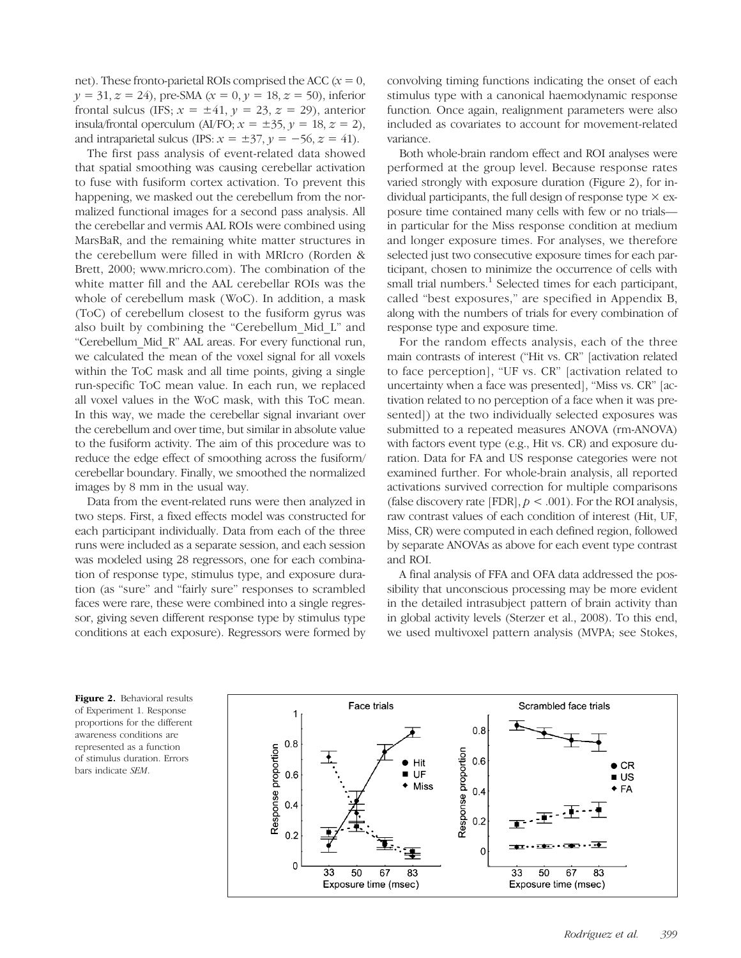net). These fronto-parietal ROIs comprised the ACC ( $x = 0$ ,  $y = 31, z = 24$ , pre-SMA  $(x = 0, y = 18, z = 50)$ , inferior frontal sulcus (IFS;  $x = \pm 41$ ,  $y = 23$ ,  $z = 29$ ), anterior insula/frontal operculum (AI/FO;  $x = \pm 35$ ,  $y = 18$ ,  $z = 2$ ), and intraparietal sulcus (IPS:  $x = \pm 37$ ,  $y = -56$ ,  $z = 41$ ).

The first pass analysis of event-related data showed that spatial smoothing was causing cerebellar activation to fuse with fusiform cortex activation. To prevent this happening, we masked out the cerebellum from the normalized functional images for a second pass analysis. All the cerebellar and vermis AAL ROIs were combined using MarsBaR, and the remaining white matter structures in the cerebellum were filled in with MRIcro (Rorden & Brett, 2000; www.mricro.com). The combination of the white matter fill and the AAL cerebellar ROIs was the whole of cerebellum mask (WoC). In addition, a mask (ToC) of cerebellum closest to the fusiform gyrus was also built by combining the "Cerebellum\_Mid\_L" and "Cerebellum\_Mid\_R" AAL areas. For every functional run, we calculated the mean of the voxel signal for all voxels within the ToC mask and all time points, giving a single run-specific ToC mean value. In each run, we replaced all voxel values in the WoC mask, with this ToC mean. In this way, we made the cerebellar signal invariant over the cerebellum and over time, but similar in absolute value to the fusiform activity. The aim of this procedure was to reduce the edge effect of smoothing across the fusiform/ cerebellar boundary. Finally, we smoothed the normalized images by 8 mm in the usual way.

Data from the event-related runs were then analyzed in two steps. First, a fixed effects model was constructed for each participant individually. Data from each of the three runs were included as a separate session, and each session was modeled using 28 regressors, one for each combination of response type, stimulus type, and exposure duration (as "sure" and "fairly sure" responses to scrambled faces were rare, these were combined into a single regressor, giving seven different response type by stimulus type conditions at each exposure). Regressors were formed by convolving timing functions indicating the onset of each stimulus type with a canonical haemodynamic response function. Once again, realignment parameters were also included as covariates to account for movement-related variance.

Both whole-brain random effect and ROI analyses were performed at the group level. Because response rates varied strongly with exposure duration (Figure 2), for individual participants, the full design of response type  $\times$  exposure time contained many cells with few or no trials in particular for the Miss response condition at medium and longer exposure times. For analyses, we therefore selected just two consecutive exposure times for each participant, chosen to minimize the occurrence of cells with small trial numbers.<sup>1</sup> Selected times for each participant, called "best exposures," are specified in Appendix B, along with the numbers of trials for every combination of response type and exposure time.

For the random effects analysis, each of the three main contrasts of interest ("Hit vs. CR" [activation related to face perception], "UF vs. CR" [activation related to uncertainty when a face was presented], "Miss vs. CR" [activation related to no perception of a face when it was presented]) at the two individually selected exposures was submitted to a repeated measures ANOVA (rm-ANOVA) with factors event type (e.g., Hit vs. CR) and exposure duration. Data for FA and US response categories were not examined further. For whole-brain analysis, all reported activations survived correction for multiple comparisons (false discovery rate [FDR],  $p < .001$ ). For the ROI analysis, raw contrast values of each condition of interest (Hit, UF, Miss, CR) were computed in each defined region, followed by separate ANOVAs as above for each event type contrast and ROI.

A final analysis of FFA and OFA data addressed the possibility that unconscious processing may be more evident in the detailed intrasubject pattern of brain activity than in global activity levels (Sterzer et al., 2008). To this end, we used multivoxel pattern analysis (MVPA; see Stokes,

Figure 2. Behavioral results of Experiment 1. Response proportions for the different awareness conditions are represented as a function of stimulus duration. Errors bars indicate SEM.

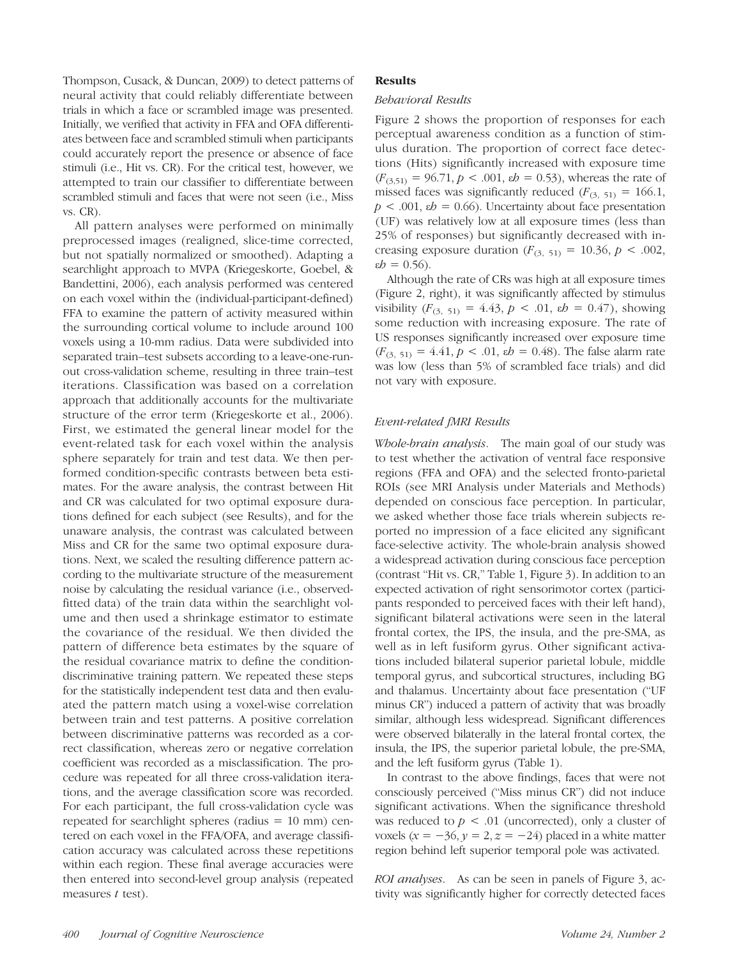Thompson, Cusack, & Duncan, 2009) to detect patterns of neural activity that could reliably differentiate between trials in which a face or scrambled image was presented. Initially, we verified that activity in FFA and OFA differentiates between face and scrambled stimuli when participants could accurately report the presence or absence of face stimuli (i.e., Hit vs. CR). For the critical test, however, we attempted to train our classifier to differentiate between scrambled stimuli and faces that were not seen (i.e., Miss vs. CR).

All pattern analyses were performed on minimally preprocessed images (realigned, slice-time corrected, but not spatially normalized or smoothed). Adapting a searchlight approach to MVPA (Kriegeskorte, Goebel, & Bandettini, 2006), each analysis performed was centered on each voxel within the (individual-participant-defined) FFA to examine the pattern of activity measured within the surrounding cortical volume to include around 100 voxels using a 10-mm radius. Data were subdivided into separated train–test subsets according to a leave-one-runout cross-validation scheme, resulting in three train–test iterations. Classification was based on a correlation approach that additionally accounts for the multivariate structure of the error term (Kriegeskorte et al., 2006). First, we estimated the general linear model for the event-related task for each voxel within the analysis sphere separately for train and test data. We then performed condition-specific contrasts between beta estimates. For the aware analysis, the contrast between Hit and CR was calculated for two optimal exposure durations defined for each subject (see Results), and for the unaware analysis, the contrast was calculated between Miss and CR for the same two optimal exposure durations. Next, we scaled the resulting difference pattern according to the multivariate structure of the measurement noise by calculating the residual variance (i.e., observedfitted data) of the train data within the searchlight volume and then used a shrinkage estimator to estimate the covariance of the residual. We then divided the pattern of difference beta estimates by the square of the residual covariance matrix to define the conditiondiscriminative training pattern. We repeated these steps for the statistically independent test data and then evaluated the pattern match using a voxel-wise correlation between train and test patterns. A positive correlation between discriminative patterns was recorded as a correct classification, whereas zero or negative correlation coefficient was recorded as a misclassification. The procedure was repeated for all three cross-validation iterations, and the average classification score was recorded. For each participant, the full cross-validation cycle was repeated for searchlight spheres (radius  $= 10$  mm) centered on each voxel in the FFA/OFA, and average classification accuracy was calculated across these repetitions within each region. These final average accuracies were then entered into second-level group analysis (repeated measures t test).

#### **Results**

#### Behavioral Results

Figure 2 shows the proportion of responses for each perceptual awareness condition as a function of stimulus duration. The proportion of correct face detections (Hits) significantly increased with exposure time  $(F_{(3,51)} = 96.71, p < .001, \varepsilon b = 0.53)$ , whereas the rate of missed faces was significantly reduced ( $F_{(3, 51)} = 166.1$ ,  $p < .001$ ,  $\varepsilon b = 0.66$ ). Uncertainty about face presentation (UF) was relatively low at all exposure times (less than 25% of responses) but significantly decreased with increasing exposure duration  $(F_{(3, 51)} = 10.36, p < .002,$ εh = 0.56).

Although the rate of CRs was high at all exposure times (Figure 2, right), it was significantly affected by stimulus visibility  $(F_{(3, 51)} = 4.43, p < .01, \varepsilon b = 0.47)$ , showing some reduction with increasing exposure. The rate of US responses significantly increased over exposure time  $(F_{(3, 51)} = 4.41, p < .01, \varepsilon b = 0.48)$ . The false alarm rate was low (less than 5% of scrambled face trials) and did not vary with exposure.

#### Event-related fMRI Results

Whole-brain analysis. The main goal of our study was to test whether the activation of ventral face responsive regions (FFA and OFA) and the selected fronto-parietal ROIs (see MRI Analysis under Materials and Methods) depended on conscious face perception. In particular, we asked whether those face trials wherein subjects reported no impression of a face elicited any significant face-selective activity. The whole-brain analysis showed a widespread activation during conscious face perception (contrast "Hit vs. CR," Table 1, Figure 3). In addition to an expected activation of right sensorimotor cortex (participants responded to perceived faces with their left hand), significant bilateral activations were seen in the lateral frontal cortex, the IPS, the insula, and the pre-SMA, as well as in left fusiform gyrus. Other significant activations included bilateral superior parietal lobule, middle temporal gyrus, and subcortical structures, including BG and thalamus. Uncertainty about face presentation ("UF minus CR") induced a pattern of activity that was broadly similar, although less widespread. Significant differences were observed bilaterally in the lateral frontal cortex, the insula, the IPS, the superior parietal lobule, the pre-SMA, and the left fusiform gyrus (Table 1).

In contrast to the above findings, faces that were not consciously perceived ("Miss minus CR") did not induce significant activations. When the significance threshold was reduced to  $p < .01$  (uncorrected), only a cluster of voxels ( $x = -36$ ,  $y = 2$ ,  $z = -24$ ) placed in a white matter region behind left superior temporal pole was activated.

ROI analyses. As can be seen in panels of Figure 3, activity was significantly higher for correctly detected faces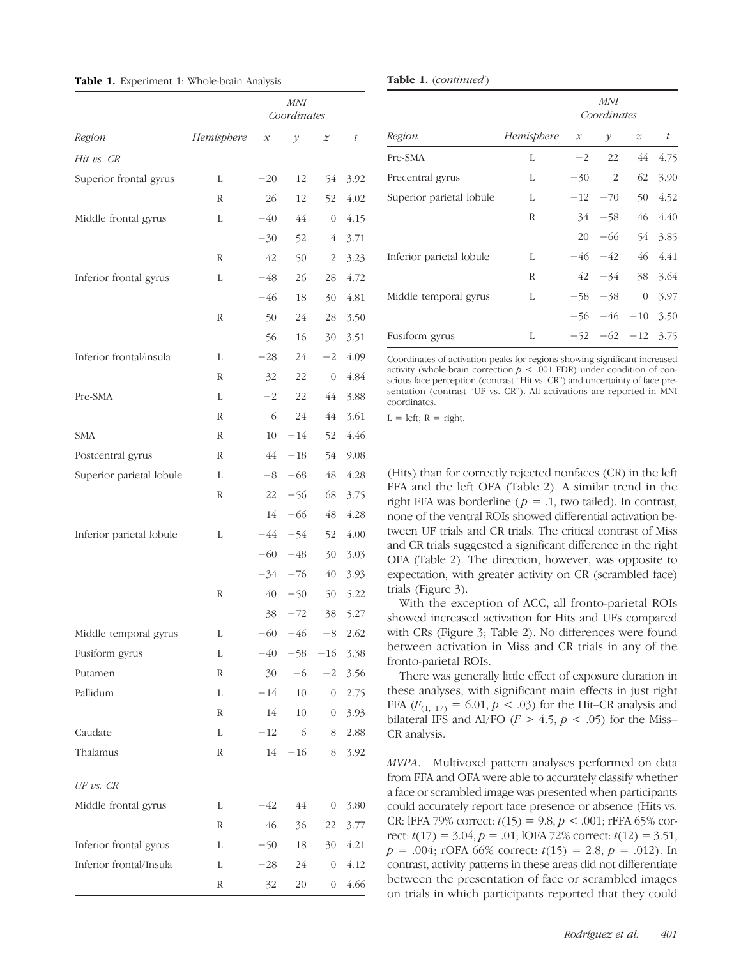| <b>Table 1.</b> Experiment 1: Whole-brain Analysis |  |  |  |
|----------------------------------------------------|--|--|--|
|----------------------------------------------------|--|--|--|

|                          |             |                     | <b>MNI</b><br>Coordinates |                  |      |  |
|--------------------------|-------------|---------------------|---------------------------|------------------|------|--|
| Region                   | Hemisphere  | $\mathcal{X}% _{0}$ | $\mathcal{Y}$             | $\boldsymbol{z}$ | t    |  |
| Hit vs. CR               |             |                     |                           |                  |      |  |
| Superior frontal gyrus   | L           | $-20$               | 12                        | 54               | 3.92 |  |
|                          | R           | 26                  | 12                        | 52               | 4.02 |  |
| Middle frontal gyrus     | L           | $-40$               | 44                        | 0                | 4.15 |  |
|                          |             | $-30$               | 52                        | 4                | 3.71 |  |
|                          | R           | 42                  | 50                        | 2                | 3.23 |  |
| Inferior frontal gyrus   | L           | $-48$               | 26                        | 28               | 4.72 |  |
|                          |             | $-46$               | 18                        | 30               | 4.81 |  |
|                          | R           | 50                  | 24                        | 28               | 3.50 |  |
|                          |             | 56                  | 16                        | 30               | 3.51 |  |
| Inferior frontal/insula  | L           | $-28$               | 24                        | $-2$             | 4.09 |  |
|                          | R           | 32                  | 22                        | 0                | 4.84 |  |
| Pre-SMA                  | L           | $-2$                | 22                        | 44               | 3.88 |  |
|                          | $\mathbb R$ | 6                   | 24                        | 44               | 3.61 |  |
| <b>SMA</b>               | $\mathbb R$ | 10                  | $-14$                     | 52               | 4.46 |  |
| Postcentral gyrus        | R           | 44                  | $-18$                     | 54               | 9.08 |  |
| Superior parietal lobule | L           | $-8$                | $-68$                     | 48               | 4.28 |  |
|                          | R           | 22                  | $-56$                     | 68               | 3.75 |  |
|                          |             | 14                  | $-66$                     | 48               | 4.28 |  |
| Inferior parietal lobule | L           | $-44$               | $-54$                     | 52               | 4.00 |  |
|                          |             | $-60$               | $-48$                     | 30               | 3.03 |  |
|                          |             | $-34$               | $-76$                     | 40               | 3.93 |  |
|                          | R           | 40                  | $-50$                     | 50               | 5.22 |  |
|                          |             | 38                  | $-72$                     | 38               | 5.27 |  |
| Middle temporal gyrus    | L           | -60                 | $-46$                     | $-8$             | 2.62 |  |
| Fusiform gyrus           | L           | $-40$               | $-58$                     | $-16$            | 3.38 |  |
| Putamen                  | R           | 30                  | -6                        | $-2$             | 3.56 |  |
| Pallidum                 | L           | $-14$               | 10                        | $\overline{0}$   | 2.75 |  |
|                          | R           | 14                  | 10                        | 0                | 3.93 |  |
| Caudate                  | L           | $-12$               | 6                         | 8                | 2.88 |  |
| Thalamus                 | $\mathbb R$ | 14                  | $-16$                     | 8                | 3.92 |  |
| $UF$ vs. $CR$            |             |                     |                           |                  |      |  |
| Middle frontal gyrus     | L           | $-42$               | 44                        | 0                | 3.80 |  |
|                          | R           | 46                  | 36                        | 22               | 3.77 |  |
| Inferior frontal gyrus   | L           | $-50$               | 18                        | 30               | 4.21 |  |
| Inferior frontal/Insula  | L           | $-28$               | 24                        | $\boldsymbol{0}$ | 4.12 |  |
|                          | R           | 32                  | 20                        | $\boldsymbol{0}$ | 4.66 |  |

|  | Table 1. (continued) |
|--|----------------------|
|--|----------------------|

|                          |            | Coordinates   |               |                        |         |
|--------------------------|------------|---------------|---------------|------------------------|---------|
| Region                   | Hemisphere | $\mathcal{X}$ | $\mathcal{Y}$ | z                      | t       |
| Pre-SMA                  | L          | $-2$          | 22            | 44                     | 4.75    |
| Precentral gyrus         | L          | $-30$         | 2             | 62                     | 3.90    |
| Superior parietal lobule | L          |               | $-12 - 70$    | 50                     | 4.52    |
|                          | R          |               | $34 - 58$     |                        | 46 4.40 |
|                          |            |               | $20 -66$      | 54                     | 3.85    |
| Inferior parietal lobule | L          |               | $-46 - 42$    |                        | 46 4.41 |
|                          | R          |               | $42 - 34$     | 38                     | 3.64    |
| Middle temporal gyrus    | L          | $-58$         | $-38$         | $\overline{0}$         | 3.97    |
|                          |            |               |               | $-56$ $-46$ $-10$ 3.50 |         |
| Fusiform gyrus           | L          |               |               | $-52$ $-62$ $-12$ 3.75 |         |

Coordinates of activation peaks for regions showing significant increased activity (whole-brain correction  $p < .001$  FDR) under condition of conscious face perception (contrast "Hit vs. CR") and uncertainty of face presentation (contrast "UF vs. CR"). All activations are reported in MNI coordinates.

 $L = left$ ;  $R = right$ .

(Hits) than for correctly rejected nonfaces (CR) in the left FFA and the left OFA (Table 2). A similar trend in the right FFA was borderline ( $p = .1$ , two tailed). In contrast, none of the ventral ROIs showed differential activation between UF trials and CR trials. The critical contrast of Miss and CR trials suggested a significant difference in the right OFA (Table 2). The direction, however, was opposite to expectation, with greater activity on CR (scrambled face) trials (Figure 3).

With the exception of ACC, all fronto-parietal ROIs showed increased activation for Hits and UFs compared with CRs (Figure 3; Table 2). No differences were found between activation in Miss and CR trials in any of the fronto-parietal ROIs.

There was generally little effect of exposure duration in these analyses, with significant main effects in just right FFA ( $F_{(1, 17)} = 6.01, p < .03$ ) for the Hit–CR analysis and bilateral IFS and AI/FO ( $F > 4.5$ ,  $p < .05$ ) for the Miss– CR analysis.

MVPA. Multivoxel pattern analyses performed on data from FFA and OFA were able to accurately classify whether a face or scrambled image was presented when participants could accurately report face presence or absence (Hits vs. CR: IFFA 79% correct:  $t(15) = 9.8$ ,  $p < .001$ ; rFFA 65% correct:  $t(17) = 3.04$ ,  $p = .01$ ; IOFA 72% correct:  $t(12) = 3.51$ ,  $p = .004$ ; rOFA 66% correct:  $t(15) = 2.8$ ,  $p = .012$ ). In contrast, activity patterns in these areas did not differentiate between the presentation of face or scrambled images on trials in which participants reported that they could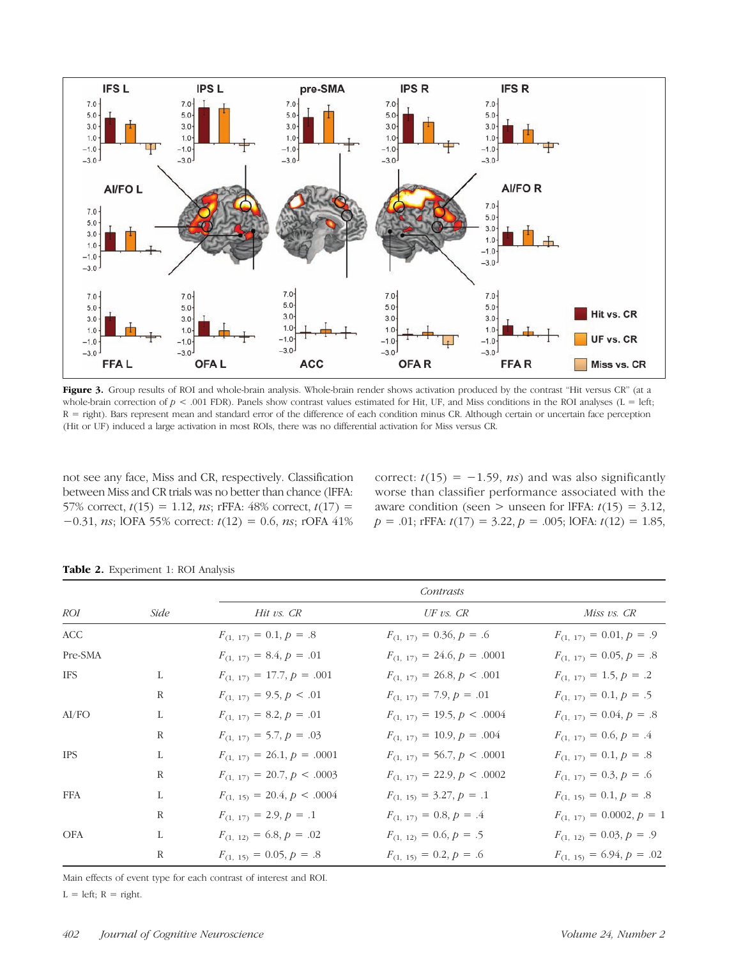

Figure 3. Group results of ROI and whole-brain analysis. Whole-brain render shows activation produced by the contrast "Hit versus CR" (at a whole-brain correction of  $p < .001$  FDR). Panels show contrast values estimated for Hit, UF, and Miss conditions in the ROI analyses (L = left; R = right). Bars represent mean and standard error of the difference of each condition minus CR. Although certain or uncertain face perception (Hit or UF) induced a large activation in most ROIs, there was no differential activation for Miss versus CR.

not see any face, Miss and CR, respectively. Classification between Miss and CR trials was no better than chance (lFFA: 57% correct,  $t(15) = 1.12$ , ns; rFFA: 48% correct,  $t(17) =$  $-0.31$ , ns; lOFA 55% correct:  $t(12) = 0.6$ , ns; rOFA 41%

correct:  $t(15) = -1.59$ , ns) and was also significantly worse than classifier performance associated with the aware condition (seen > unseen for IFFA:  $t(15) = 3.12$ ,  $p = .01$ ; rFFA:  $t(17) = 3.22$ ,  $p = .005$ ; lOFA:  $t(12) = 1.85$ ,

|            |              |                                 | Contrasts                       |                               |
|------------|--------------|---------------------------------|---------------------------------|-------------------------------|
| <i>ROI</i> | Side         | Hit vs. CR                      | $UF$ vs. $CR$                   | Miss vs. CR                   |
| ACC        |              | $F_{(1, 17)} = 0.1, p = .8$     | $F_{(1, 17)} = 0.36, p = .6$    | $F_{(1, 17)} = 0.01, p = .9$  |
| Pre-SMA    |              | $F_{(1, 17)} = 8.4, p = .01$    | $F_{(1, 17)} = 24.6, p = .0001$ | $F_{(1, 17)} = 0.05, p = .8$  |
| <b>IFS</b> | L            | $F_{(1, 17)} = 17.7, p = .001$  | $F_{(1, 17)} = 26.8, p < .001$  | $F_{(1, 17)} = 1.5, p = .2$   |
|            | $\mathbb{R}$ | $F_{(1, 17)} = 9.5, p < .01$    | $F_{(1, 17)} = 7.9, p = .01$    | $F_{(1, 17)} = 0.1, p = .5$   |
| AI/FO      | L            | $F_{(1, 17)} = 8.2, p = .01$    | $F_{(1, 17)} = 19.5, p < .0004$ | $F_{(1, 17)} = 0.04, p = .8$  |
|            | $\mathbb{R}$ | $F_{(1, 17)} = 5.7, p = .03$    | $F_{(1, 17)} = 10.9, p = .004$  | $F_{(1, 17)} = 0.6, p = .4$   |
| <b>IPS</b> | L            | $F_{(1, 17)} = 26.1, p = .0001$ | $F_{(1, 17)} = 56.7, p < .0001$ | $F_{(1, 17)} = 0.1, p = .8$   |
|            | $\mathbb{R}$ | $F_{(1, 17)} = 20.7, p < .0003$ | $F_{(1, 17)} = 22.9, p < .0002$ | $F_{(1, 17)} = 0.3, p = .6$   |
| FFA        | L            | $F_{(1, 15)} = 20.4, p < .0004$ | $F_{(1, 15)} = 3.27, p = .1$    | $F_{(1, 15)} = 0.1, p = .8$   |
|            | $\mathbb{R}$ | $F_{(1, 17)} = 2.9, p = .1$     | $F_{(1, 17)} = 0.8, p = .4$     | $F_{(1, 17)} = 0.0002, p = 1$ |
| <b>OFA</b> | L            | $F_{(1, 12)} = 6.8, p = .02$    | $F_{(1, 12)} = 0.6, p = .5$     | $F_{(1, 12)} = 0.03, p = .9$  |
|            | R            | $F_{(1, 15)} = 0.05, p = .8$    | $F_{(1, 15)} = 0.2, p = .6$     | $F_{(1, 15)} = 6.94, p = .02$ |

Table 2. Experiment 1: ROI Analysis

Main effects of event type for each contrast of interest and ROI.

 $L = left$ ;  $R = right$ .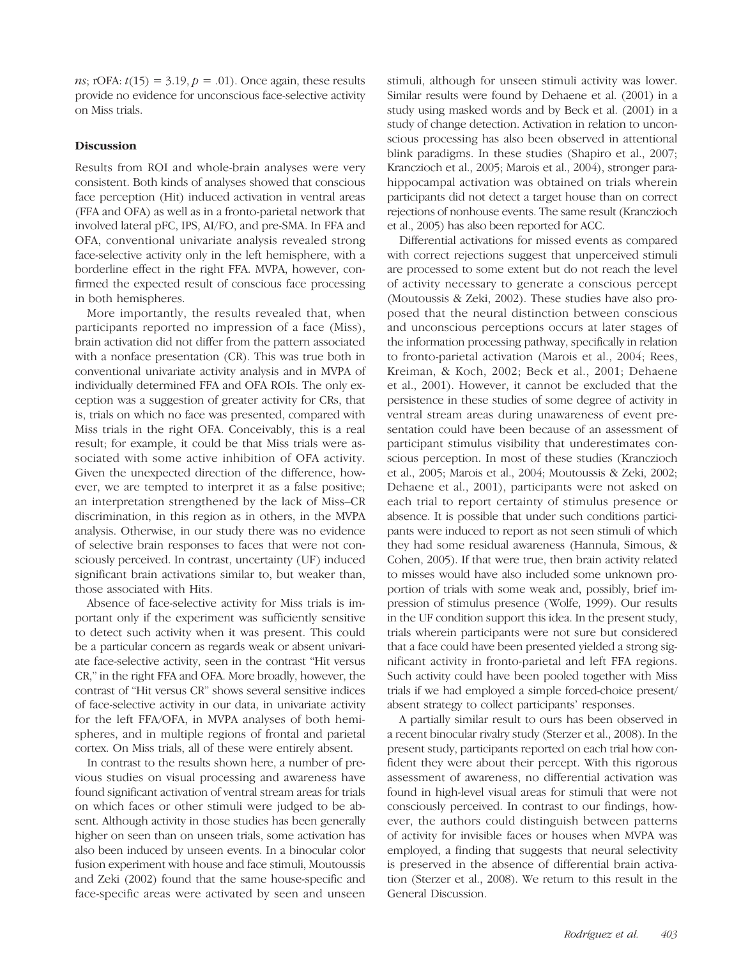ns; rOFA:  $t(15) = 3.19$ ,  $p = .01$ ). Once again, these results provide no evidence for unconscious face-selective activity on Miss trials.

#### Discussion

Results from ROI and whole-brain analyses were very consistent. Both kinds of analyses showed that conscious face perception (Hit) induced activation in ventral areas (FFA and OFA) as well as in a fronto-parietal network that involved lateral pFC, IPS, AI/FO, and pre-SMA. In FFA and OFA, conventional univariate analysis revealed strong face-selective activity only in the left hemisphere, with a borderline effect in the right FFA. MVPA, however, confirmed the expected result of conscious face processing in both hemispheres.

More importantly, the results revealed that, when participants reported no impression of a face (Miss), brain activation did not differ from the pattern associated with a nonface presentation (CR). This was true both in conventional univariate activity analysis and in MVPA of individually determined FFA and OFA ROIs. The only exception was a suggestion of greater activity for CRs, that is, trials on which no face was presented, compared with Miss trials in the right OFA. Conceivably, this is a real result; for example, it could be that Miss trials were associated with some active inhibition of OFA activity. Given the unexpected direction of the difference, however, we are tempted to interpret it as a false positive; an interpretation strengthened by the lack of Miss–CR discrimination, in this region as in others, in the MVPA analysis. Otherwise, in our study there was no evidence of selective brain responses to faces that were not consciously perceived. In contrast, uncertainty (UF) induced significant brain activations similar to, but weaker than, those associated with Hits.

Absence of face-selective activity for Miss trials is important only if the experiment was sufficiently sensitive to detect such activity when it was present. This could be a particular concern as regards weak or absent univariate face-selective activity, seen in the contrast "Hit versus CR," in the right FFA and OFA. More broadly, however, the contrast of "Hit versus CR" shows several sensitive indices of face-selective activity in our data, in univariate activity for the left FFA/OFA, in MVPA analyses of both hemispheres, and in multiple regions of frontal and parietal cortex. On Miss trials, all of these were entirely absent.

In contrast to the results shown here, a number of previous studies on visual processing and awareness have found significant activation of ventral stream areas for trials on which faces or other stimuli were judged to be absent. Although activity in those studies has been generally higher on seen than on unseen trials, some activation has also been induced by unseen events. In a binocular color fusion experiment with house and face stimuli, Moutoussis and Zeki (2002) found that the same house-specific and face-specific areas were activated by seen and unseen

stimuli, although for unseen stimuli activity was lower. Similar results were found by Dehaene et al. (2001) in a study using masked words and by Beck et al. (2001) in a study of change detection. Activation in relation to unconscious processing has also been observed in attentional blink paradigms. In these studies (Shapiro et al., 2007; Kranczioch et al., 2005; Marois et al., 2004), stronger parahippocampal activation was obtained on trials wherein participants did not detect a target house than on correct rejections of nonhouse events. The same result (Kranczioch et al., 2005) has also been reported for ACC.

Differential activations for missed events as compared with correct rejections suggest that unperceived stimuli are processed to some extent but do not reach the level of activity necessary to generate a conscious percept (Moutoussis & Zeki, 2002). These studies have also proposed that the neural distinction between conscious and unconscious perceptions occurs at later stages of the information processing pathway, specifically in relation to fronto-parietal activation (Marois et al., 2004; Rees, Kreiman, & Koch, 2002; Beck et al., 2001; Dehaene et al., 2001). However, it cannot be excluded that the persistence in these studies of some degree of activity in ventral stream areas during unawareness of event presentation could have been because of an assessment of participant stimulus visibility that underestimates conscious perception. In most of these studies (Kranczioch et al., 2005; Marois et al., 2004; Moutoussis & Zeki, 2002; Dehaene et al., 2001), participants were not asked on each trial to report certainty of stimulus presence or absence. It is possible that under such conditions participants were induced to report as not seen stimuli of which they had some residual awareness (Hannula, Simous, & Cohen, 2005). If that were true, then brain activity related to misses would have also included some unknown proportion of trials with some weak and, possibly, brief impression of stimulus presence (Wolfe, 1999). Our results in the UF condition support this idea. In the present study, trials wherein participants were not sure but considered that a face could have been presented yielded a strong significant activity in fronto-parietal and left FFA regions. Such activity could have been pooled together with Miss trials if we had employed a simple forced-choice present/ absent strategy to collect participants' responses.

A partially similar result to ours has been observed in a recent binocular rivalry study (Sterzer et al., 2008). In the present study, participants reported on each trial how confident they were about their percept. With this rigorous assessment of awareness, no differential activation was found in high-level visual areas for stimuli that were not consciously perceived. In contrast to our findings, however, the authors could distinguish between patterns of activity for invisible faces or houses when MVPA was employed, a finding that suggests that neural selectivity is preserved in the absence of differential brain activation (Sterzer et al., 2008). We return to this result in the General Discussion.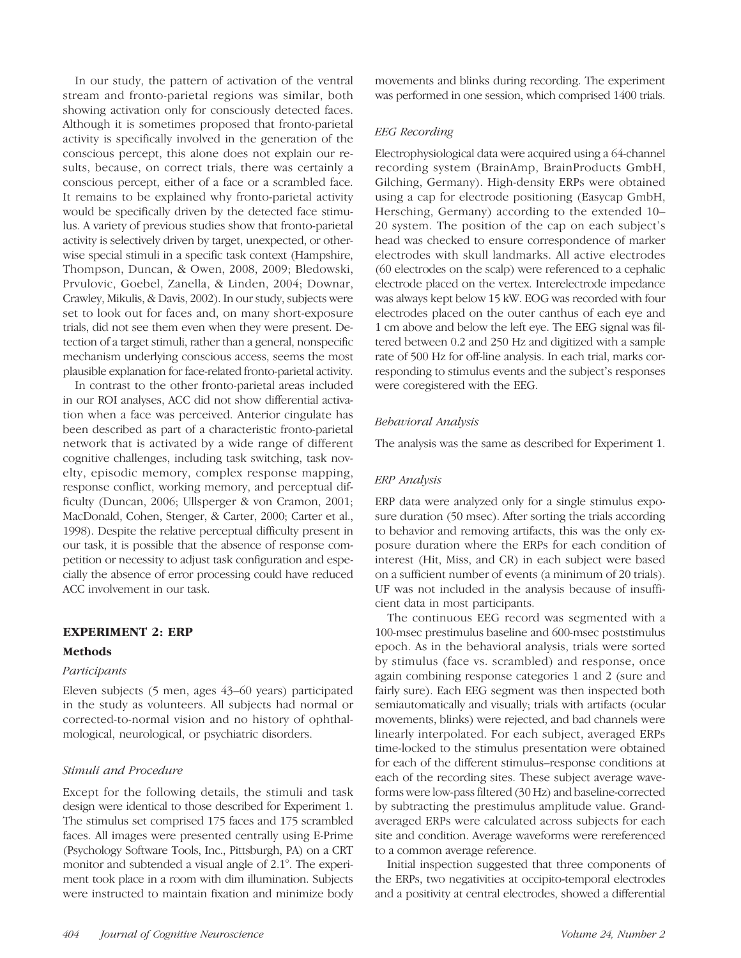In our study, the pattern of activation of the ventral stream and fronto-parietal regions was similar, both showing activation only for consciously detected faces. Although it is sometimes proposed that fronto-parietal activity is specifically involved in the generation of the conscious percept, this alone does not explain our results, because, on correct trials, there was certainly a conscious percept, either of a face or a scrambled face. It remains to be explained why fronto-parietal activity would be specifically driven by the detected face stimulus. A variety of previous studies show that fronto-parietal activity is selectively driven by target, unexpected, or otherwise special stimuli in a specific task context (Hampshire, Thompson, Duncan, & Owen, 2008, 2009; Bledowski, Prvulovic, Goebel, Zanella, & Linden, 2004; Downar, Crawley, Mikulis, & Davis, 2002). In our study, subjects were set to look out for faces and, on many short-exposure trials, did not see them even when they were present. Detection of a target stimuli, rather than a general, nonspecific mechanism underlying conscious access, seems the most plausible explanation for face-related fronto-parietal activity.

In contrast to the other fronto-parietal areas included in our ROI analyses, ACC did not show differential activation when a face was perceived. Anterior cingulate has been described as part of a characteristic fronto-parietal network that is activated by a wide range of different cognitive challenges, including task switching, task novelty, episodic memory, complex response mapping, response conflict, working memory, and perceptual difficulty (Duncan, 2006; Ullsperger & von Cramon, 2001; MacDonald, Cohen, Stenger, & Carter, 2000; Carter et al., 1998). Despite the relative perceptual difficulty present in our task, it is possible that the absence of response competition or necessity to adjust task configuration and especially the absence of error processing could have reduced ACC involvement in our task.

# EXPERIMENT 2: ERP

## Methods

#### Participants

Eleven subjects (5 men, ages 43–60 years) participated in the study as volunteers. All subjects had normal or corrected-to-normal vision and no history of ophthalmological, neurological, or psychiatric disorders.

## Stimuli and Procedure

Except for the following details, the stimuli and task design were identical to those described for Experiment 1. The stimulus set comprised 175 faces and 175 scrambled faces. All images were presented centrally using E-Prime (Psychology Software Tools, Inc., Pittsburgh, PA) on a CRT monitor and subtended a visual angle of 2.1°. The experiment took place in a room with dim illumination. Subjects were instructed to maintain fixation and minimize body movements and blinks during recording. The experiment was performed in one session, which comprised 1400 trials.

## EEG Recording

Electrophysiological data were acquired using a 64-channel recording system (BrainAmp, BrainProducts GmbH, Gilching, Germany). High-density ERPs were obtained using a cap for electrode positioning (Easycap GmbH, Hersching, Germany) according to the extended 10– 20 system. The position of the cap on each subject's head was checked to ensure correspondence of marker electrodes with skull landmarks. All active electrodes (60 electrodes on the scalp) were referenced to a cephalic electrode placed on the vertex. Interelectrode impedance was always kept below 15 kW. EOG was recorded with four electrodes placed on the outer canthus of each eye and 1 cm above and below the left eye. The EEG signal was filtered between 0.2 and 250 Hz and digitized with a sample rate of 500 Hz for off-line analysis. In each trial, marks corresponding to stimulus events and the subject's responses were coregistered with the EEG.

## Behavioral Analysis

The analysis was the same as described for Experiment 1.

## ERP Analysis

ERP data were analyzed only for a single stimulus exposure duration (50 msec). After sorting the trials according to behavior and removing artifacts, this was the only exposure duration where the ERPs for each condition of interest (Hit, Miss, and CR) in each subject were based on a sufficient number of events (a minimum of 20 trials). UF was not included in the analysis because of insufficient data in most participants.

The continuous EEG record was segmented with a 100-msec prestimulus baseline and 600-msec poststimulus epoch. As in the behavioral analysis, trials were sorted by stimulus (face vs. scrambled) and response, once again combining response categories 1 and 2 (sure and fairly sure). Each EEG segment was then inspected both semiautomatically and visually; trials with artifacts (ocular movements, blinks) were rejected, and bad channels were linearly interpolated. For each subject, averaged ERPs time-locked to the stimulus presentation were obtained for each of the different stimulus–response conditions at each of the recording sites. These subject average waveforms were low-pass filtered (30 Hz) and baseline-corrected by subtracting the prestimulus amplitude value. Grandaveraged ERPs were calculated across subjects for each site and condition. Average waveforms were rereferenced to a common average reference.

Initial inspection suggested that three components of the ERPs, two negativities at occipito-temporal electrodes and a positivity at central electrodes, showed a differential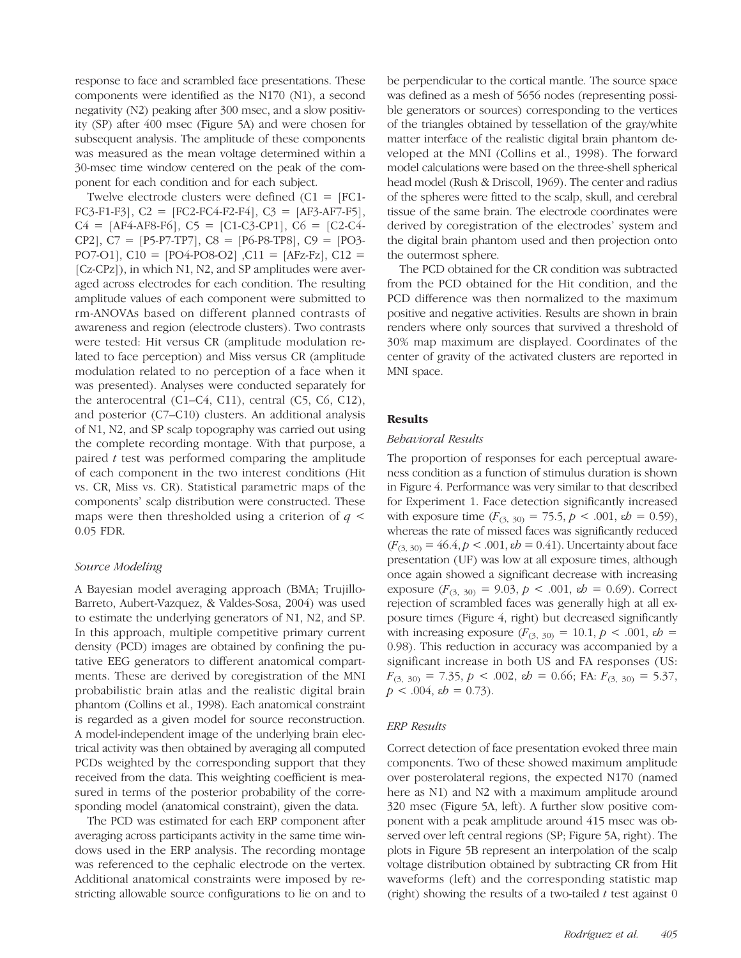response to face and scrambled face presentations. These components were identified as the N170 (N1), a second negativity (N2) peaking after 300 msec, and a slow positivity (SP) after 400 msec (Figure 5A) and were chosen for subsequent analysis. The amplitude of these components was measured as the mean voltage determined within a 30-msec time window centered on the peak of the component for each condition and for each subject.

Twelve electrode clusters were defined  $(C1 = [FC1 -$ FC3-F1-F3], C2 = [FC2-FC4-F2-F4], C3 = [AF3-AF7-F5],  $C4 = [AF4-AF8-F6], C5 = [C1-C3-CP1], C6 = [C2-C4-$ CP2],  $C7 = [P5-P7-TP7]$ ,  $C8 = [P6-P8-TP8]$ ,  $C9 = [PO3-P8]$ PO7-O1],  $C10 = [PO4-POS-O2]$ ,  $C11 = [AFz-Fz]$ ,  $C12 =$ [Cz-CPz]), in which N1, N2, and SP amplitudes were averaged across electrodes for each condition. The resulting amplitude values of each component were submitted to rm-ANOVAs based on different planned contrasts of awareness and region (electrode clusters). Two contrasts were tested: Hit versus CR (amplitude modulation related to face perception) and Miss versus CR (amplitude modulation related to no perception of a face when it was presented). Analyses were conducted separately for the anterocentral (C1–C4, C11), central (C5, C6, C12), and posterior (C7–C10) clusters. An additional analysis of N1, N2, and SP scalp topography was carried out using the complete recording montage. With that purpose, a paired  $t$  test was performed comparing the amplitude of each component in the two interest conditions (Hit vs. CR, Miss vs. CR). Statistical parametric maps of the components' scalp distribution were constructed. These maps were then thresholded using a criterion of  $q \leq$ 0.05 FDR.

#### Source Modeling

A Bayesian model averaging approach (BMA; Trujillo-Barreto, Aubert-Vazquez, & Valdes-Sosa, 2004) was used to estimate the underlying generators of N1, N2, and SP. In this approach, multiple competitive primary current density (PCD) images are obtained by confining the putative EEG generators to different anatomical compartments. These are derived by coregistration of the MNI probabilistic brain atlas and the realistic digital brain phantom (Collins et al., 1998). Each anatomical constraint is regarded as a given model for source reconstruction. A model-independent image of the underlying brain electrical activity was then obtained by averaging all computed PCDs weighted by the corresponding support that they received from the data. This weighting coefficient is measured in terms of the posterior probability of the corresponding model (anatomical constraint), given the data.

The PCD was estimated for each ERP component after averaging across participants activity in the same time windows used in the ERP analysis. The recording montage was referenced to the cephalic electrode on the vertex. Additional anatomical constraints were imposed by restricting allowable source configurations to lie on and to be perpendicular to the cortical mantle. The source space was defined as a mesh of 5656 nodes (representing possible generators or sources) corresponding to the vertices of the triangles obtained by tessellation of the gray/white matter interface of the realistic digital brain phantom developed at the MNI (Collins et al., 1998). The forward model calculations were based on the three-shell spherical head model (Rush & Driscoll, 1969). The center and radius of the spheres were fitted to the scalp, skull, and cerebral tissue of the same brain. The electrode coordinates were derived by coregistration of the electrodes' system and the digital brain phantom used and then projection onto the outermost sphere.

The PCD obtained for the CR condition was subtracted from the PCD obtained for the Hit condition, and the PCD difference was then normalized to the maximum positive and negative activities. Results are shown in brain renders where only sources that survived a threshold of 30% map maximum are displayed. Coordinates of the center of gravity of the activated clusters are reported in MNI space.

#### Results

#### Behavioral Results

The proportion of responses for each perceptual awareness condition as a function of stimulus duration is shown in Figure 4. Performance was very similar to that described for Experiment 1. Face detection significantly increased with exposure time  $(F_{(3, 30)} = 75.5, p < .001, \epsilon b = 0.59)$ , whereas the rate of missed faces was significantly reduced  $(F_{(3, 30)} = 46.4, p < .001, \varepsilon b = 0.41)$ . Uncertainty about face presentation (UF) was low at all exposure times, although once again showed a significant decrease with increasing exposure  $(F_{(3, 30)} = 9.03, p < .001, \varepsilon b = 0.69)$ . Correct rejection of scrambled faces was generally high at all exposure times (Figure 4, right) but decreased significantly with increasing exposure  $(F_{(3, 30)} = 10.1, p < .001, \varepsilon b =$ 0.98). This reduction in accuracy was accompanied by a significant increase in both US and FA responses (US:  $F_{(3, 30)} = 7.35, p < .002, \text{ } \epsilon b = 0.66; \text{ } \text{FA: } F_{(3, 30)} = 5.37,$  $p < .004$ ,  $\varepsilon b = 0.73$ ).

#### ERP Results

Correct detection of face presentation evoked three main components. Two of these showed maximum amplitude over posterolateral regions, the expected N170 (named here as N1) and N2 with a maximum amplitude around 320 msec (Figure 5A, left). A further slow positive component with a peak amplitude around 415 msec was observed over left central regions (SP; Figure 5A, right). The plots in Figure 5B represent an interpolation of the scalp voltage distribution obtained by subtracting CR from Hit waveforms (left) and the corresponding statistic map (right) showing the results of a two-tailed  $t$  test against 0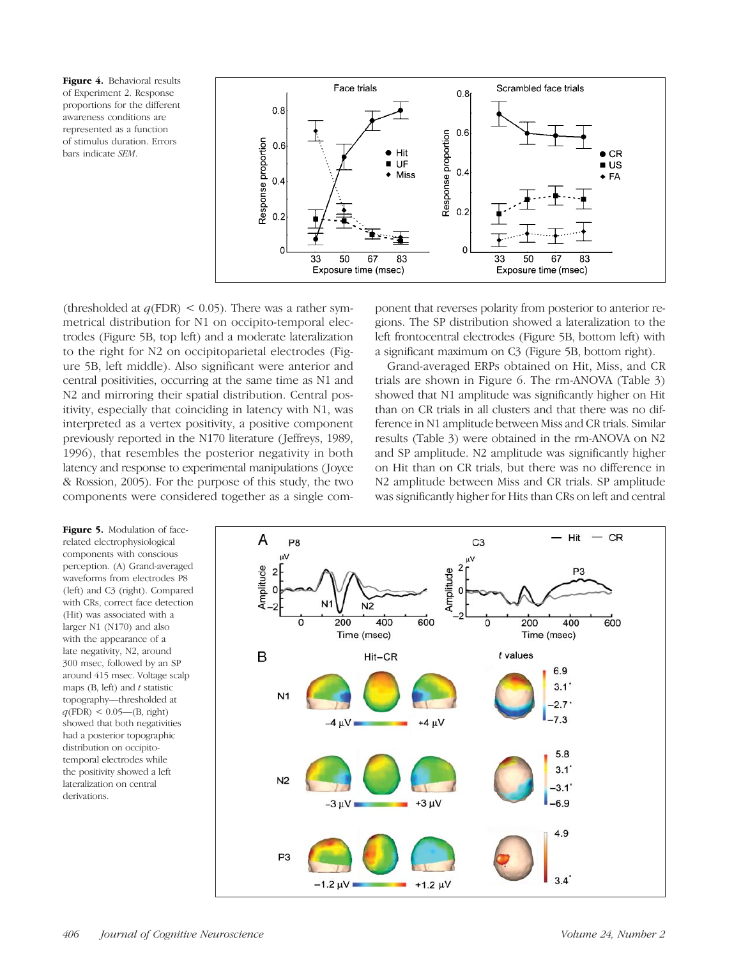Figure 4. Behavioral results of Experiment 2. Response proportions for the different awareness conditions are represented as a function of stimulus duration. Errors bars indicate SEM.



(thresholded at  $q(\text{FDR})$  < 0.05). There was a rather symmetrical distribution for N1 on occipito-temporal electrodes (Figure 5B, top left) and a moderate lateralization to the right for N2 on occipitoparietal electrodes (Figure 5B, left middle). Also significant were anterior and central positivities, occurring at the same time as N1 and N2 and mirroring their spatial distribution. Central positivity, especially that coinciding in latency with N1, was interpreted as a vertex positivity, a positive component previously reported in the N170 literature (Jeffreys, 1989, 1996), that resembles the posterior negativity in both latency and response to experimental manipulations (Joyce & Rossion, 2005). For the purpose of this study, the two components were considered together as a single component that reverses polarity from posterior to anterior regions. The SP distribution showed a lateralization to the left frontocentral electrodes (Figure 5B, bottom left) with a significant maximum on C3 (Figure 5B, bottom right).

Grand-averaged ERPs obtained on Hit, Miss, and CR trials are shown in Figure 6. The rm-ANOVA (Table 3) showed that N1 amplitude was significantly higher on Hit than on CR trials in all clusters and that there was no difference in N1 amplitude between Miss and CR trials. Similar results (Table 3) were obtained in the rm-ANOVA on N2 and SP amplitude. N2 amplitude was significantly higher on Hit than on CR trials, but there was no difference in N2 amplitude between Miss and CR trials. SP amplitude was significantly higher for Hits than CRs on left and central

Figure 5. Modulation of facerelated electrophysiological components with conscious perception. (A) Grand-averaged waveforms from electrodes P8 (left) and C3 (right). Compared with CRs, correct face detection (Hit) was associated with a larger N1 (N170) and also with the appearance of a late negativity, N2, around 300 msec, followed by an SP around 415 msec. Voltage scalp maps (B, left) and  $t$  statistic topography—thresholded at  $q(FDR) < 0.05$ —(B, right) showed that both negativities had a posterior topographic distribution on occipitotemporal electrodes while the positivity showed a left lateralization on central derivations.

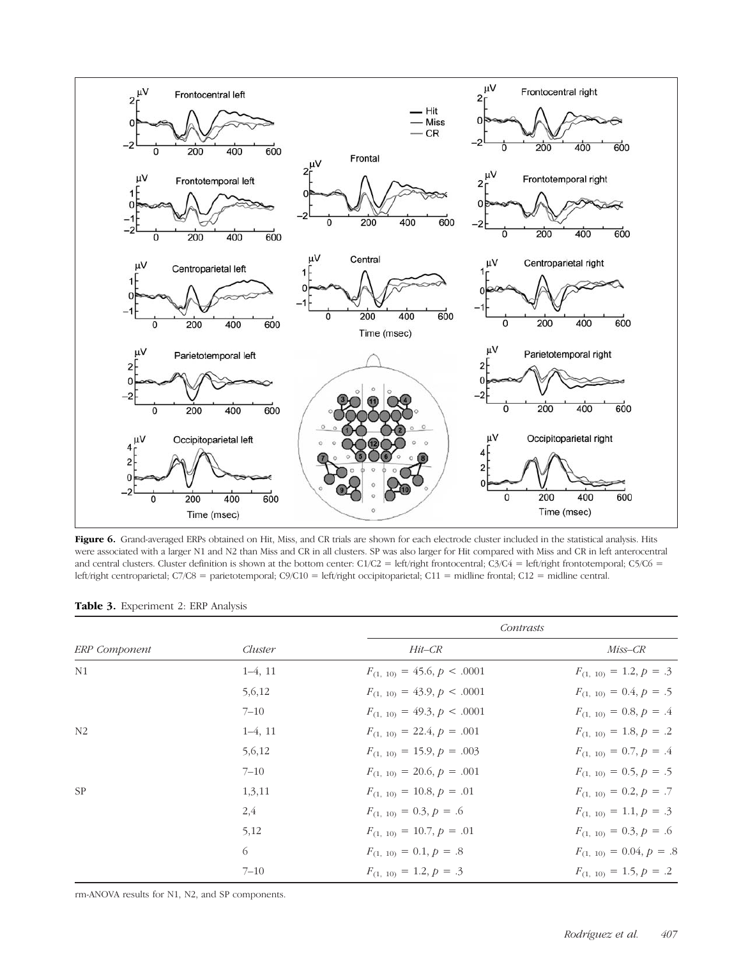

Figure 6. Grand-averaged ERPs obtained on Hit, Miss, and CR trials are shown for each electrode cluster included in the statistical analysis. Hits were associated with a larger N1 and N2 than Miss and CR in all clusters. SP was also larger for Hit compared with Miss and CR in left anterocentral and central clusters. Cluster definition is shown at the bottom center: C1/C2 = left/right frontocentral; C3/C4 = left/right frontotemporal; C5/C6 = left/right centroparietal; C7/C8 = parietotemporal; C9/C10 = left/right occipitoparietal; C11 = midline frontal; C12 = midline central.

|  |  | Table 3. Experiment 2: ERP Analysis |  |  |  |  |
|--|--|-------------------------------------|--|--|--|--|
|--|--|-------------------------------------|--|--|--|--|

|                      |            | Contrasts                       |                              |  |  |  |  |
|----------------------|------------|---------------------------------|------------------------------|--|--|--|--|
| <b>ERP</b> Component | Cluster    | Hit–CR                          | Miss-CR                      |  |  |  |  |
| N1                   | $1-4$ , 11 | $F_{(1, 10)} = 45.6, p < .0001$ | $F_{(1, 10)} = 1.2, p = .3$  |  |  |  |  |
|                      | 5,6,12     | $F_{(1, 10)} = 43.9, p < .0001$ | $F_{(1, 10)} = 0.4, p = .5$  |  |  |  |  |
|                      | $7 - 10$   | $F_{(1, 10)} = 49.3, p < .0001$ | $F_{(1, 10)} = 0.8, p = .4$  |  |  |  |  |
| N <sub>2</sub>       | $1-4, 11$  | $F_{(1, 10)} = 22.4, p = .001$  | $F_{(1, 10)} = 1.8, p = .2$  |  |  |  |  |
|                      | 5,6,12     | $F_{(1, 10)} = 15.9, p = .003$  | $F_{(1, 10)} = 0.7, p = .4$  |  |  |  |  |
|                      | $7 - 10$   | $F_{(1, 10)} = 20.6, p = .001$  | $F_{(1, 10)} = 0.5, p = .5$  |  |  |  |  |
| <b>SP</b>            | 1,3,11     | $F_{(1, 10)} = 10.8, p = .01$   | $F_{(1, 10)} = 0.2, p = .7$  |  |  |  |  |
|                      | 2,4        | $F_{(1, 10)} = 0.3, p = .6$     | $F_{(1, 10)} = 1.1, p = .3$  |  |  |  |  |
|                      | 5,12       | $F_{(1, 10)} = 10.7, p = .01$   | $F_{(1, 10)} = 0.3, p = .6$  |  |  |  |  |
|                      | 6          | $F_{(1, 10)} = 0.1, p = .8$     | $F_{(1, 10)} = 0.04, p = .8$ |  |  |  |  |
|                      | $7 - 10$   | $F_{(1, 10)} = 1.2, p = .3$     | $F_{(1, 10)} = 1.5, p = .2$  |  |  |  |  |

rm-ANOVA results for N1, N2, and SP components.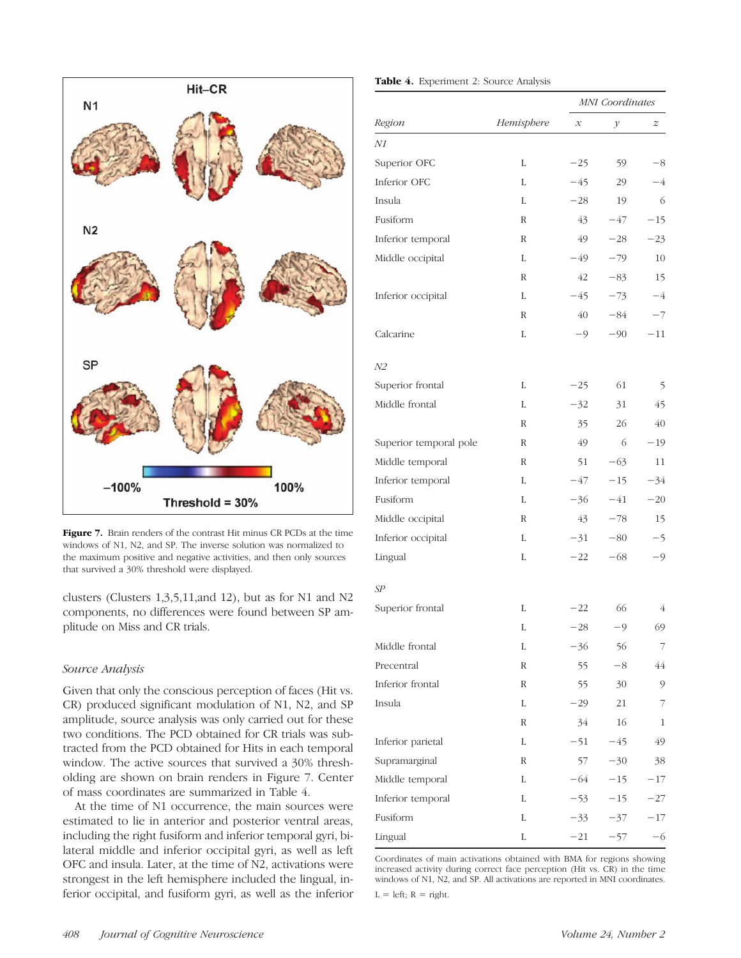

Figure 7. Brain renders of the contrast Hit minus CR PCDs at the time windows of N1, N2, and SP. The inverse solution was normalized to the maximum positive and negative activities, and then only sources that survived a 30% threshold were displayed.

clusters (Clusters 1,3,5,11,and 12), but as for N1 and N2 components, no differences were found between SP amplitude on Miss and CR trials.

#### Source Analysis

Given that only the conscious perception of faces (Hit vs. CR) produced significant modulation of N1, N2, and SP amplitude, source analysis was only carried out for these two conditions. The PCD obtained for CR trials was subtracted from the PCD obtained for Hits in each temporal window. The active sources that survived a 30% thresholding are shown on brain renders in Figure 7. Center of mass coordinates are summarized in Table 4.

At the time of N1 occurrence, the main sources were estimated to lie in anterior and posterior ventral areas, including the right fusiform and inferior temporal gyri, bilateral middle and inferior occipital gyri, as well as left OFC and insula. Later, at the time of N2, activations were strongest in the left hemisphere included the lingual, inferior occipital, and fusiform gyri, as well as the inferior

# Table 4. Experiment 2: Source Analysis

|                        |              |                            | MNI Coordinates |                  |  |  |  |
|------------------------|--------------|----------------------------|-----------------|------------------|--|--|--|
| Region                 | Hemisphere   | $\boldsymbol{\mathcal{X}}$ | $\mathcal Y$    | $\boldsymbol{z}$ |  |  |  |
| Ν1                     |              |                            |                 |                  |  |  |  |
| Superior OFC           | L            | $-25$                      | 59              | $-8$             |  |  |  |
| Inferior OFC           | L            | $-45$                      | 29              | -4               |  |  |  |
| Insula                 | L            | $-28$                      | 19              | 6                |  |  |  |
| Fusiform               | R            | 43                         | $-47$           | $-15$            |  |  |  |
| Inferior temporal      | R            | 49                         | $-28$           | $-23$            |  |  |  |
| Middle occipital       | L            | -49                        | $-79$           | 10               |  |  |  |
|                        | $\mathbb R$  | 42                         | $-83$           | 15               |  |  |  |
| Inferior occipital     | L            | $-45$                      | $-73$           | $-4$             |  |  |  |
|                        | R            | 40                         | $-84$           | $-7$             |  |  |  |
| Calcarine              | L            | $-9$                       | $-90$           | $-11$            |  |  |  |
| Ν2                     |              |                            |                 |                  |  |  |  |
| Superior frontal       | L            | $-25$                      | 61              | 5                |  |  |  |
| Middle frontal         | L            | $-32$                      | 31              | 45               |  |  |  |
|                        | R            | 35                         | 26              | 40               |  |  |  |
| Superior temporal pole | R            | 49                         | 6               | $-19$            |  |  |  |
| Middle temporal        | $\mathbb{R}$ | 51                         | $-63$           | 11               |  |  |  |
| Inferior temporal      | L            | $-47$                      | $-15$           | $-34$            |  |  |  |
| Fusiform               | L            | $-36$                      | $-41$           | $-20$            |  |  |  |
| Middle occipital       | R            | 43                         | $-78$           | 15               |  |  |  |
| Inferior occipital     | L            | $-31$                      | $-80$           | $-5$             |  |  |  |
| Lingual                | L            | $-22$                      | $-68$           | -9               |  |  |  |
| SP                     |              |                            |                 |                  |  |  |  |
| Superior frontal       | L            | $-22$                      | 66              | 4                |  |  |  |
|                        | L            | $-28$                      | -9              | 69               |  |  |  |
| Middle frontal         | L            | $-36$                      | 56              | 7                |  |  |  |
| Precentral             | $\mathbb R$  | 55                         | $-8$            | 44               |  |  |  |
| Inferior frontal       | R            | 55                         | 30              | 9                |  |  |  |
| Insula                 | L            | $-29$                      | 21              | 7                |  |  |  |
|                        | $\mathbb R$  | 34                         | 16              | 1                |  |  |  |
| Inferior parietal      | L            | $-51$                      | $-45$           | 49               |  |  |  |
| Supramarginal          | $\mathbb R$  | 57                         | $-30$           | 38               |  |  |  |
| Middle temporal        | L            | $-64$                      | $-15$           | $-17$            |  |  |  |
| Inferior temporal      | L            | $-53$                      | $-15$           | $-27$            |  |  |  |
| Fusiform               | L            | $-33$                      | $-37$           | $-17$            |  |  |  |
| Lingual                | L            | $-21$                      | $-57$           | $-6$             |  |  |  |

Coordinates of main activations obtained with BMA for regions showing increased activity during correct face perception (Hit vs. CR) in the time windows of N1, N2, and SP. All activations are reported in MNI coordinates.  $L = left$ ;  $R = right$ .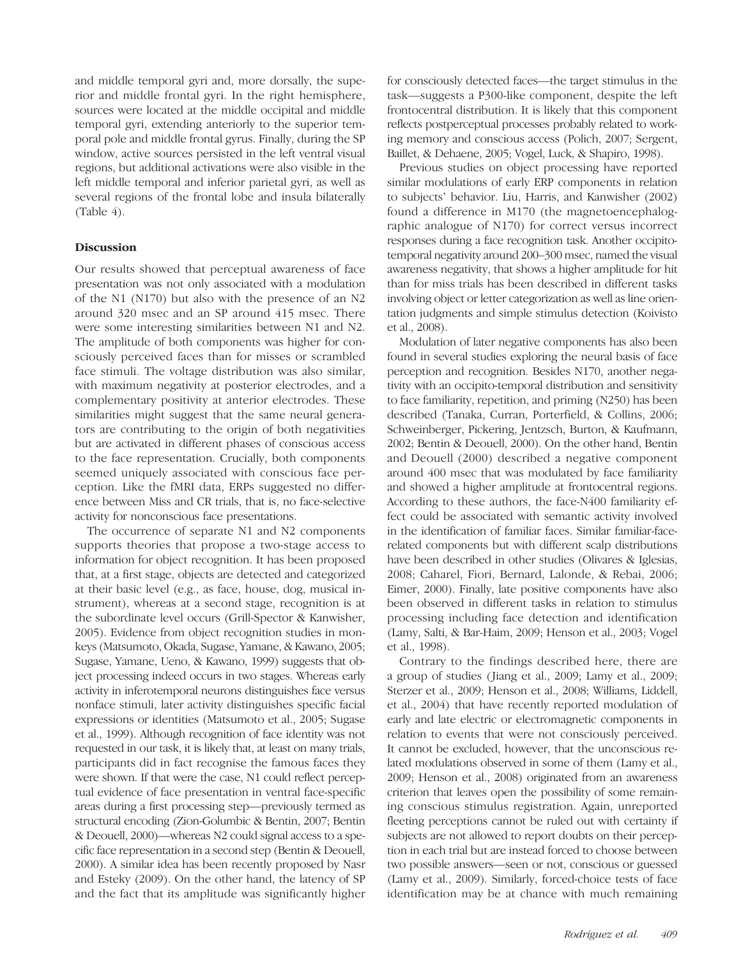and middle temporal gyri and, more dorsally, the superior and middle frontal gyri. In the right hemisphere, sources were located at the middle occipital and middle temporal gyri, extending anteriorly to the superior temporal pole and middle frontal gyrus. Finally, during the SP window, active sources persisted in the left ventral visual regions, but additional activations were also visible in the left middle temporal and inferior parietal gyri, as well as several regions of the frontal lobe and insula bilaterally (Table 4).

## **Discussion**

Our results showed that perceptual awareness of face presentation was not only associated with a modulation of the N1 (N170) but also with the presence of an N2 around 320 msec and an SP around 415 msec. There were some interesting similarities between N1 and N2. The amplitude of both components was higher for consciously perceived faces than for misses or scrambled face stimuli. The voltage distribution was also similar, with maximum negativity at posterior electrodes, and a complementary positivity at anterior electrodes. These similarities might suggest that the same neural generators are contributing to the origin of both negativities but are activated in different phases of conscious access to the face representation. Crucially, both components seemed uniquely associated with conscious face perception. Like the fMRI data, ERPs suggested no difference between Miss and CR trials, that is, no face-selective activity for nonconscious face presentations.

The occurrence of separate N1 and N2 components supports theories that propose a two-stage access to information for object recognition. It has been proposed that, at a first stage, objects are detected and categorized at their basic level (e.g., as face, house, dog, musical instrument), whereas at a second stage, recognition is at the subordinate level occurs (Grill-Spector & Kanwisher, 2005). Evidence from object recognition studies in monkeys (Matsumoto, Okada, Sugase, Yamane, & Kawano, 2005; Sugase, Yamane, Ueno, & Kawano, 1999) suggests that object processing indeed occurs in two stages. Whereas early activity in inferotemporal neurons distinguishes face versus nonface stimuli, later activity distinguishes specific facial expressions or identities (Matsumoto et al., 2005; Sugase et al., 1999). Although recognition of face identity was not requested in our task, it is likely that, at least on many trials, participants did in fact recognise the famous faces they were shown. If that were the case, N1 could reflect perceptual evidence of face presentation in ventral face-specific areas during a first processing step—previously termed as structural encoding (Zion-Golumbic & Bentin, 2007; Bentin & Deouell, 2000)—whereas N2 could signal access to a specific face representation in a second step (Bentin & Deouell, 2000). A similar idea has been recently proposed by Nasr and Esteky (2009). On the other hand, the latency of SP and the fact that its amplitude was significantly higher for consciously detected faces—the target stimulus in the task—suggests a P300-like component, despite the left frontocentral distribution. It is likely that this component reflects postperceptual processes probably related to working memory and conscious access (Polich, 2007; Sergent, Baillet, & Dehaene, 2005; Vogel, Luck, & Shapiro, 1998).

Previous studies on object processing have reported similar modulations of early ERP components in relation to subjects' behavior. Liu, Harris, and Kanwisher (2002) found a difference in M170 (the magnetoencephalographic analogue of N170) for correct versus incorrect responses during a face recognition task. Another occipitotemporal negativity around 200–300 msec, named the visual awareness negativity, that shows a higher amplitude for hit than for miss trials has been described in different tasks involving object or letter categorization as well as line orientation judgments and simple stimulus detection (Koivisto et al., 2008).

Modulation of later negative components has also been found in several studies exploring the neural basis of face perception and recognition. Besides N170, another negativity with an occipito-temporal distribution and sensitivity to face familiarity, repetition, and priming (N250) has been described (Tanaka, Curran, Porterfield, & Collins, 2006; Schweinberger, Pickering, Jentzsch, Burton, & Kaufmann, 2002; Bentin & Deouell, 2000). On the other hand, Bentin and Deouell (2000) described a negative component around 400 msec that was modulated by face familiarity and showed a higher amplitude at frontocentral regions. According to these authors, the face-N400 familiarity effect could be associated with semantic activity involved in the identification of familiar faces. Similar familiar-facerelated components but with different scalp distributions have been described in other studies (Olivares & Iglesias, 2008; Caharel, Fiori, Bernard, Lalonde, & Rebai, 2006; Eimer, 2000). Finally, late positive components have also been observed in different tasks in relation to stimulus processing including face detection and identification (Lamy, Salti, & Bar-Haim, 2009; Henson et al., 2003; Vogel et al., 1998).

Contrary to the findings described here, there are a group of studies ( Jiang et al., 2009; Lamy et al., 2009; Sterzer et al., 2009; Henson et al., 2008; Williams, Liddell, et al., 2004) that have recently reported modulation of early and late electric or electromagnetic components in relation to events that were not consciously perceived. It cannot be excluded, however, that the unconscious related modulations observed in some of them (Lamy et al., 2009; Henson et al., 2008) originated from an awareness criterion that leaves open the possibility of some remaining conscious stimulus registration. Again, unreported fleeting perceptions cannot be ruled out with certainty if subjects are not allowed to report doubts on their perception in each trial but are instead forced to choose between two possible answers—seen or not, conscious or guessed (Lamy et al., 2009). Similarly, forced-choice tests of face identification may be at chance with much remaining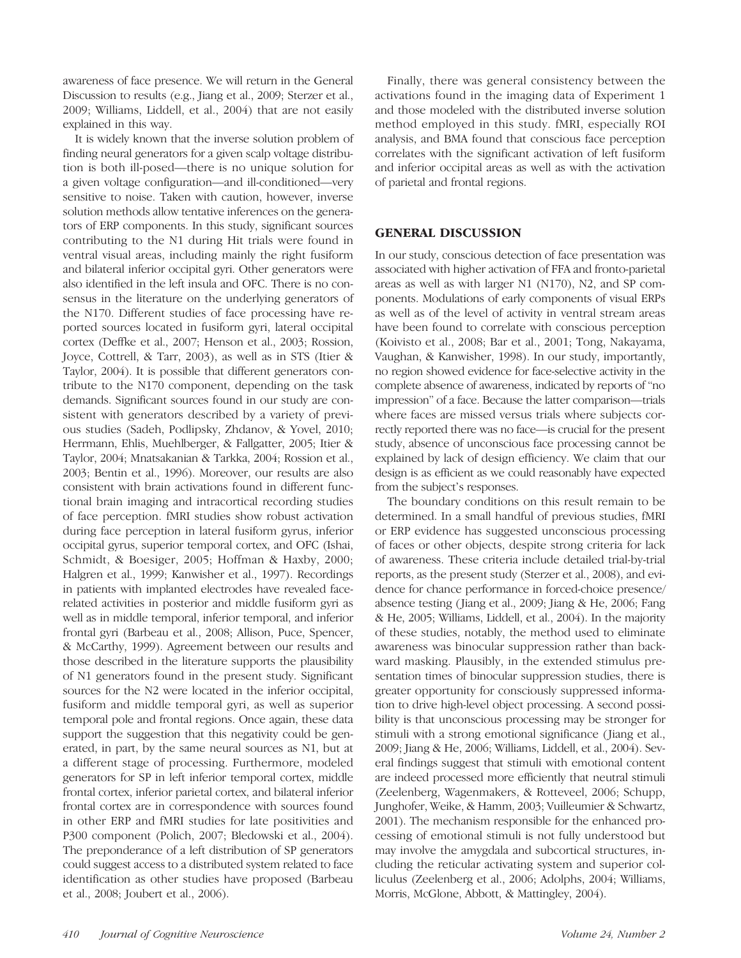awareness of face presence. We will return in the General Discussion to results (e.g., Jiang et al., 2009; Sterzer et al., 2009; Williams, Liddell, et al., 2004) that are not easily explained in this way.

It is widely known that the inverse solution problem of finding neural generators for a given scalp voltage distribution is both ill-posed—there is no unique solution for a given voltage configuration—and ill-conditioned—very sensitive to noise. Taken with caution, however, inverse solution methods allow tentative inferences on the generators of ERP components. In this study, significant sources contributing to the N1 during Hit trials were found in ventral visual areas, including mainly the right fusiform and bilateral inferior occipital gyri. Other generators were also identified in the left insula and OFC. There is no consensus in the literature on the underlying generators of the N170. Different studies of face processing have reported sources located in fusiform gyri, lateral occipital cortex (Deffke et al., 2007; Henson et al., 2003; Rossion, Joyce, Cottrell, & Tarr, 2003), as well as in STS (Itier & Taylor, 2004). It is possible that different generators contribute to the N170 component, depending on the task demands. Significant sources found in our study are consistent with generators described by a variety of previous studies (Sadeh, Podlipsky, Zhdanov, & Yovel, 2010; Herrmann, Ehlis, Muehlberger, & Fallgatter, 2005; Itier & Taylor, 2004; Mnatsakanian & Tarkka, 2004; Rossion et al., 2003; Bentin et al., 1996). Moreover, our results are also consistent with brain activations found in different functional brain imaging and intracortical recording studies of face perception. fMRI studies show robust activation during face perception in lateral fusiform gyrus, inferior occipital gyrus, superior temporal cortex, and OFC (Ishai, Schmidt, & Boesiger, 2005; Hoffman & Haxby, 2000; Halgren et al., 1999; Kanwisher et al., 1997). Recordings in patients with implanted electrodes have revealed facerelated activities in posterior and middle fusiform gyri as well as in middle temporal, inferior temporal, and inferior frontal gyri (Barbeau et al., 2008; Allison, Puce, Spencer, & McCarthy, 1999). Agreement between our results and those described in the literature supports the plausibility of N1 generators found in the present study. Significant sources for the N2 were located in the inferior occipital, fusiform and middle temporal gyri, as well as superior temporal pole and frontal regions. Once again, these data support the suggestion that this negativity could be generated, in part, by the same neural sources as N1, but at a different stage of processing. Furthermore, modeled generators for SP in left inferior temporal cortex, middle frontal cortex, inferior parietal cortex, and bilateral inferior frontal cortex are in correspondence with sources found in other ERP and fMRI studies for late positivities and P300 component (Polich, 2007; Bledowski et al., 2004). The preponderance of a left distribution of SP generators could suggest access to a distributed system related to face identification as other studies have proposed (Barbeau et al., 2008; Joubert et al., 2006).

Finally, there was general consistency between the activations found in the imaging data of Experiment 1 and those modeled with the distributed inverse solution method employed in this study. fMRI, especially ROI analysis, and BMA found that conscious face perception correlates with the significant activation of left fusiform and inferior occipital areas as well as with the activation of parietal and frontal regions.

## GENERAL DISCUSSION

In our study, conscious detection of face presentation was associated with higher activation of FFA and fronto-parietal areas as well as with larger N1 (N170), N2, and SP components. Modulations of early components of visual ERPs as well as of the level of activity in ventral stream areas have been found to correlate with conscious perception (Koivisto et al., 2008; Bar et al., 2001; Tong, Nakayama, Vaughan, & Kanwisher, 1998). In our study, importantly, no region showed evidence for face-selective activity in the complete absence of awareness, indicated by reports of "no impression" of a face. Because the latter comparison—trials where faces are missed versus trials where subjects correctly reported there was no face—is crucial for the present study, absence of unconscious face processing cannot be explained by lack of design efficiency. We claim that our design is as efficient as we could reasonably have expected from the subject's responses.

The boundary conditions on this result remain to be determined. In a small handful of previous studies, fMRI or ERP evidence has suggested unconscious processing of faces or other objects, despite strong criteria for lack of awareness. These criteria include detailed trial-by-trial reports, as the present study (Sterzer et al., 2008), and evidence for chance performance in forced-choice presence/ absence testing ( Jiang et al., 2009; Jiang & He, 2006; Fang & He, 2005; Williams, Liddell, et al., 2004). In the majority of these studies, notably, the method used to eliminate awareness was binocular suppression rather than backward masking. Plausibly, in the extended stimulus presentation times of binocular suppression studies, there is greater opportunity for consciously suppressed information to drive high-level object processing. A second possibility is that unconscious processing may be stronger for stimuli with a strong emotional significance ( Jiang et al., 2009; Jiang & He, 2006; Williams, Liddell, et al., 2004). Several findings suggest that stimuli with emotional content are indeed processed more efficiently that neutral stimuli (Zeelenberg, Wagenmakers, & Rotteveel, 2006; Schupp, Junghofer, Weike, & Hamm, 2003; Vuilleumier & Schwartz, 2001). The mechanism responsible for the enhanced processing of emotional stimuli is not fully understood but may involve the amygdala and subcortical structures, including the reticular activating system and superior colliculus (Zeelenberg et al., 2006; Adolphs, 2004; Williams, Morris, McGlone, Abbott, & Mattingley, 2004).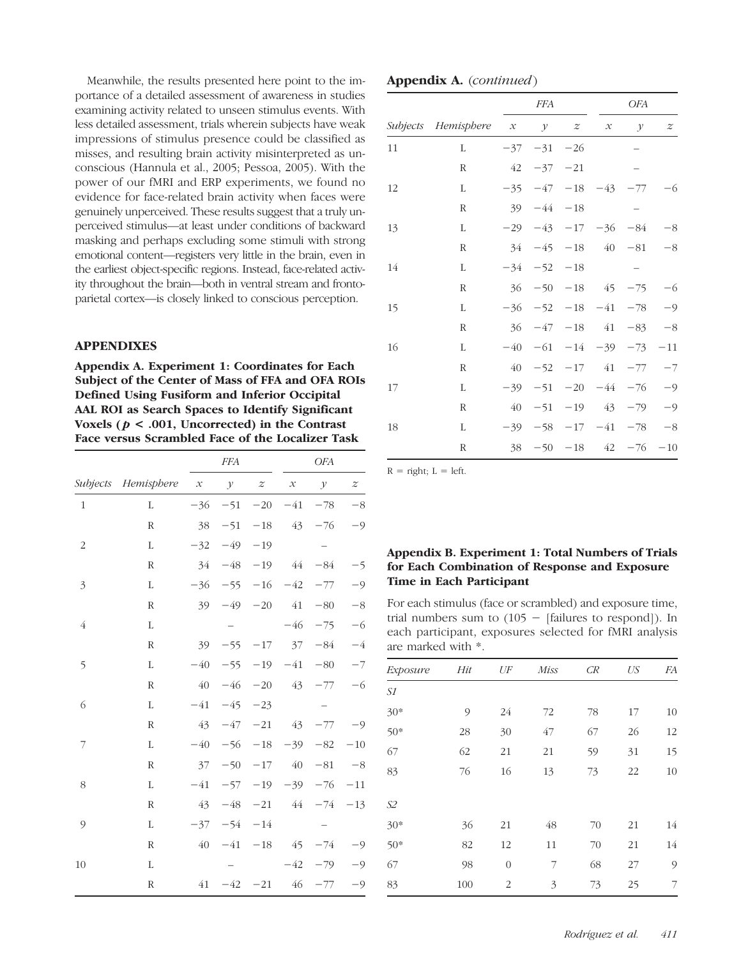Meanwhile, the results presented here point to the importance of a detailed assessment of awareness in studies examining activity related to unseen stimulus events. With less detailed assessment, trials wherein subjects have weak impressions of stimulus presence could be classified as misses, and resulting brain activity misinterpreted as unconscious (Hannula et al., 2005; Pessoa, 2005). With the power of our fMRI and ERP experiments, we found no evidence for face-related brain activity when faces were genuinely unperceived. These results suggest that a truly unperceived stimulus—at least under conditions of backward masking and perhaps excluding some stimuli with strong emotional content—registers very little in the brain, even in the earliest object-specific regions. Instead, face-related activity throughout the brain—both in ventral stream and frontoparietal cortex—is closely linked to conscious perception.

## APPENDIXES

Appendix A. Experiment 1: Coordinates for Each Subject of the Center of Mass of FFA and OFA ROIs Defined Using Fusiform and Inferior Occipital AAL ROI as Search Spaces to Identify Significant Voxels ( $p < .001$ , Uncorrected) in the Contrast Face versus Scrambled Face of the Localizer Task

|                |                     |              | <b>FFA</b>    |                  |              | <b>OFA</b>    |                  |
|----------------|---------------------|--------------|---------------|------------------|--------------|---------------|------------------|
|                | Subjects Hemisphere | $\mathcal X$ | $\mathcal{Y}$ | $\boldsymbol{z}$ | $\mathcal X$ | $\mathcal{Y}$ | $\boldsymbol{z}$ |
| $\mathbf{1}$   | L                   | $-36$        | $-51$         | $-20$            | $-41$        | $-78$         | $-8$             |
|                | $\mathbb R$         | 38           | $-51$         | $-18$            | 43           | $-76$         | -9               |
| $\sqrt{2}$     | L                   | $-32$        | $-49$         | $-19$            |              |               |                  |
|                | $\mathbf R$         | 34           | $-48$         | $-19$            | 44           | $-84$         | $-5$             |
| $\mathfrak{Z}$ | L                   | $-36$        | $-55$         | $-16$            | $-42$        | $-77$         | -9               |
|                | $\mathbf R$         | 39           | $-49$         | $-20$            | 41           | $-80$         | $-8$             |
| 4              | L                   |              |               |                  | $-46$        | $-75$         | -6               |
|                | $\mathbb{R}$        | 39           | $-55$         | $-17$            | 37           | $-84$         | $-4$             |
| 5              | L                   | $-40$        | $-55$         | $-19$            | $-41$        | $-80$         | $-7$             |
|                | $\mathbb{R}$        | 40           | $-46$         | $-20$            | 43           | $-77$         | $-6$             |
| 6              | L                   | $-41$        | $-45$         | $-23$            |              |               |                  |
|                | $\mathbb R$         | 43           | $-47$         | $-21$            | 43           | $-77$         | -9               |
| 7              | L                   | $-40$        | $-56$         | $-18\,$          | $-39$        | $-82$         | $-10$            |
|                | $\mathbb R$         | 37           | $-50$         | $-17$            | 40           | $-81$         | $-8$             |
| 8              | L                   | $-41$        | $-57$         | $-19$            | $-39$        | $-76$         | $-11$            |
|                | $\mathbb R$         | 43           | $-48$         | $-21$            | 44           | $-74$         | $-13$            |
| 9              | L                   | $-37$        | $-54$         | $-14$            |              |               |                  |
|                | $\mathbf R$         | 40           | $-41$         | $-18$            | 45           | $-74$         | $-9$             |
| 10             | L                   |              |               |                  | $-42$        | $-79$         | -9               |
|                | $\mathbb R$         | 41           | $-42$         | $-21$            | 46           | $-77$         | -9               |

## Appendix A. (continued)

|    |                     |              | <b>FFA</b>   |                  |                     | <b>OFA</b>    |                  |
|----|---------------------|--------------|--------------|------------------|---------------------|---------------|------------------|
|    | Subjects Hemisphere | $\mathcal X$ | $\mathcal V$ | $\boldsymbol{z}$ | $\mathcal{X}% _{0}$ | $\mathcal{Y}$ | $\boldsymbol{z}$ |
| 11 | L                   | $-37$        | $-31$        | $-26$            |                     |               |                  |
|    | $\mathbb{R}$        | 42           | $-37$        | $-21$            |                     |               |                  |
| 12 | L                   | $-35$        | $-47$        | $-18$            | $-43$               | $-77$         | $-6$             |
|    | $\mathbb{R}$        | 39           | $-44$        | $-18$            |                     |               |                  |
| 13 | L                   | $-29$        | $-43$        | $-17$            | $-36$               | $-84$         | $-8$             |
|    | $\mathbb{R}$        | 34           | $-45$        | $-18$            | 40                  | $-81$         | $-8$             |
| 14 | L                   | $-34$        | $-52$        | $-18$            |                     |               |                  |
|    | $\mathbb{R}$        | 36           | $-50$        | $-18$            | 45                  | $-75$         | $-6$             |
| 15 | L                   | $-36$        | $-52$        | $-18$            | $-41$               | $-78$         | $-9$             |
|    | $\mathbb{R}$        | 36           | $-47$        | $-18$            | 41                  | $-83$         | $-8$             |
| 16 | L                   | $-40$        | $-61$        | $-14$            | $-39$               | $-73$         | $-11$            |
|    | $\mathbb{R}$        | 40           | $-52$        | $-17$            | 41                  | $-77$         | $-7$             |
| 17 | L                   | $-39$        | $-51$        | $-20$            | $-44$               | $-76$         | $-9$             |
|    | $\mathbb{R}$        | 40           | $-51$        | $-19$            | 43                  | $-79$         | $-9$             |
| 18 | L                   | $-39$        | $-58$        | $-17$            | $-41$               | $-78$         | $-8$             |
|    | $\mathbb R$         | 38           | $-50$        | $-18$            | 42                  | $-76$         | $-10$            |

 $R =$  right;  $L =$  left.

# Appendix B. Experiment 1: Total Numbers of Trials for Each Combination of Response and Exposure Time in Each Participant

For each stimulus (face or scrambled) and exposure time, trial numbers sum to  $(105 - \text{[failures to respond]})$ . In each participant, exposures selected for fMRI analysis are marked with \*.

| Exposure | Hit | $U\!F$         | Miss           | CR | US | <b>FA</b>     |
|----------|-----|----------------|----------------|----|----|---------------|
| S1       |     |                |                |    |    |               |
| $30*$    | 9   | 24             | 72             | 78 | 17 | 10            |
| $50*$    | 28  | 30             | 47             | 67 | 26 | 12            |
| 67       | 62  | 21             | 21             | 59 | 31 | 15            |
| 83       | 76  | 16             | 13             | 73 | 22 | 10            |
| S2       |     |                |                |    |    |               |
| $30*$    | 36  | 21             | 48             | 70 | 21 | 14            |
| $50*$    | 82  | 12             | 11             | 70 | 21 | 14            |
| 67       | 98  | $\overline{0}$ | 7              | 68 | 27 | $\mathcal{P}$ |
| 83       | 100 | $\overline{2}$ | $\mathfrak{Z}$ | 73 | 25 | 7             |
|          |     |                |                |    |    |               |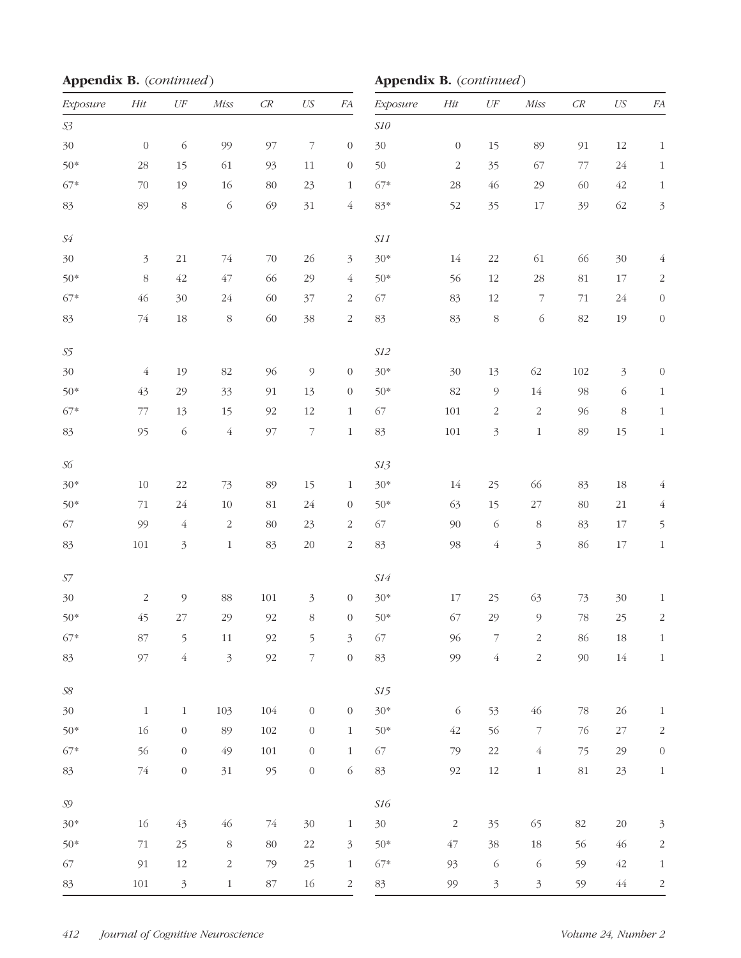Appendix B. (continued)

Appendix B. (continued)

| Exposure                   | $\it Hit$      | $U\!F$                      | Miss           | $C\!R$  | $U\!S$                   | ${\it FA}$       | Exposure        | $\it{Hit}$       | $U\!F$        | $\mathit{Miss}$          | $C\!R$ | $U\!S$         | ${\it FA}$                  |
|----------------------------|----------------|-----------------------------|----------------|---------|--------------------------|------------------|-----------------|------------------|---------------|--------------------------|--------|----------------|-----------------------------|
| S <sub>3</sub>             |                |                             |                |         |                          |                  | <i>S10</i>      |                  |               |                          |        |                |                             |
| 30                         | $\theta$       | $\sqrt{6}$                  | 99             | 97      | $\overline{7}$           | $\sqrt{0}$       | 30              | $\boldsymbol{0}$ | 15            | 89                       | 91     | $12\,$         | $\,1$                       |
| $50*$                      | $28\,$         | 15                          | 61             | 93      | 11                       | $\boldsymbol{0}$ | 50              | $\overline{c}$   | 35            | 67                       | $77\,$ | $24\,$         | $\,1$                       |
| 67*                        | $70\,$         | 19                          | $16\,$         | 80      | 23                       | $\mathbf{1}$     | 67*             | 28               | $46\,$        | 29                       | 60     | $42\,$         | $\,1\,$                     |
| 83                         | 89             | $\,8\,$                     | $\sqrt{6}$     | 69      | 31                       | $\overline{4}$   | 83*             | 52               | 35            | $17\,$                   | 39     | 62             | $\mathfrak{Z}$              |
| $\mathcal{S}\!\mathcal{A}$ |                |                             |                |         |                          |                  | S11             |                  |               |                          |        |                |                             |
| 30                         | $\mathfrak z$  | 21                          | $74\,$         | $70\,$  | 26                       | $\mathfrak{Z}$   | $30*$           | 14               | $22\,$        | 61                       | 66     | 30             | $\sqrt{4}$                  |
| $50*$                      | $8\,$          | $42\,$                      | $47\,$         | 66      | 29                       | $\overline{4}$   | $50*$           | 56               | $12\,$        | 28                       | $81\,$ | $17\,$         | $\sqrt{2}$                  |
| 67*                        | $46\,$         | 30                          | $24\,$         | 60      | 37                       | $\sqrt{2}$       | 67              | 83               | $12\,$        | $\overline{\phantom{a}}$ | $71\,$ | $24\,$         | $\boldsymbol{0}$            |
| 83                         | $74\,$         | $18\,$                      | $8\,$          | 60      | 38                       | $\sqrt{2}$       | 83              | 83               | $8\,$         | $\sqrt{6}$               | 82     | 19             | $\boldsymbol{0}$            |
| S <sub>5</sub>             |                |                             |                |         |                          |                  | S12             |                  |               |                          |        |                |                             |
| 30                         | $\overline{4}$ | 19                          | $82\,$         | 96      | $\mathcal{G}$            | $\boldsymbol{0}$ | $30*$           | 30               | 13            | 62                       | 102    | $\mathfrak{Z}$ | $\boldsymbol{0}$            |
| $50*$                      | 43             | 29                          | 33             | 91      | 13                       | $\overline{0}$   | $50*$           | 82               | $\mathcal{G}$ | $14\,$                   | 98     | $\sqrt{6}$     | $\mathbf{1}$                |
| 67*                        | $77\,$         | 13                          | 15             | 92      | $12\,$                   | $\mathbf{1}$     | 67              | $101\,$          | $\sqrt{2}$    | $\sqrt{2}$               | 96     | $\,8\,$        | $1\,$                       |
| 83                         | 95             | $\sqrt{6}$                  | $\sqrt{4}$     | 97      | $\overline{\phantom{a}}$ | $\,1\,$          | 83              | $101\,$          | $\mathfrak z$ | $\,1\,$                  | 89     | 15             | $\,1$                       |
| $S\!6$                     |                |                             |                |         |                          |                  | S13             |                  |               |                          |        |                |                             |
| $30*$                      | $10\,$         | $22\,$                      | 73             | 89      | 15                       | $\mathbf{1}$     | $30*$           | 14               | 25            | 66                       | 83     | $18\,$         | $\sqrt{4}$                  |
| $50*$                      | $71\,$         | $24\,$                      | $10\,$         | $81\,$  | $24\,$                   | $\overline{0}$   | $50*$           | 63               | 15            | $27\,$                   | $80\,$ | $21\,$         | $\sqrt{4}$                  |
| 67                         | 99             | $\sqrt{4}$                  | $\sqrt{2}$     | 80      | 23                       | $\overline{c}$   | 67              | 90               | $\sqrt{6}$    | $8\,$                    | 83     | $17\,$         | 5                           |
| 83                         | $101\,$        | $\mathfrak{Z}$              | $\mathbf{1}$   | 83      | 20                       | $\overline{c}$   | 83              | 98               | $\sqrt{4}$    | $\mathfrak{Z}$           | 86     | $17\,$         | $\,1\,$                     |
| $\mathcal{S}\mathcal{T}$   |                |                             |                |         |                          |                  | $\mathcal{S}14$ |                  |               |                          |        |                |                             |
| $30\,$                     | $\overline{c}$ | $\mathfrak{g}$              | $88\,$         | 101     | $\mathfrak{Z}$           | $\overline{0}$   | $30*$           | $17\,$           | 25            | 63                       | $73\,$ | 30             | $\mathbf{1}$                |
| $50*$                      | 45             | 27                          | 29             | 92      | $8\,$                    | $\boldsymbol{0}$ | $50*$           | 67               | 29            | $\mathfrak{g}$           | $78\,$ | 25             | $\sqrt{2}$                  |
| $67*$                      | 87             | 5                           | 11             | 92      | 5                        | 3                | 67              | 96               |               | 2                        | 86     | 18             | $\mathbf{1}$                |
| 83                         | 97             | $\sqrt{4}$                  | $\mathfrak z$  | 92      | $\overline{\mathcal{I}}$ | $\boldsymbol{0}$ | 83              | 99               | $\sqrt{4}$    | $\sqrt{2}$               | 90     | $14\,$         | $\,1$                       |
| $\mathcal{S}\!\mathcal{S}$ |                |                             |                |         |                          |                  | S15             |                  |               |                          |        |                |                             |
| 30                         | $\mathbf{1}$   | $\mathbf{1}$                | 103            | 104     | $\boldsymbol{0}$         | $\boldsymbol{0}$ | $30*$           | 6                | 53            | $46$                     | $78\,$ | $26\,$         | $1\,$                       |
| $50*$                      | $16\,$         | $\boldsymbol{0}$            | 89             | 102     | $\boldsymbol{0}$         | $\mathbf{1}$     | $50*$           | $42\,$           | 56            | $\overline{7}$           | 76     | $27\,$         | $\sqrt{2}$                  |
| 67*                        | 56             | $\boldsymbol{0}$            | 49             | $101\,$ | $\boldsymbol{0}$         | $\,1\,$          | 67              | 79               | $22\,$        | $\sqrt{4}$               | 75     | 29             | $\boldsymbol{0}$            |
| 83                         | $74\,$         | $\,0\,$                     | 31             | 95      | $\boldsymbol{0}$         | $\sqrt{6}$       | 83              | 92               | $12\,$        | $\,1$                    | $81\,$ | $23\,$         | $\,1$                       |
| S9                         |                |                             |                |         |                          |                  | S16             |                  |               |                          |        |                |                             |
| $30*$                      | $16\,$         | 43                          | $46\,$         | $74\,$  | 30                       | $\,1\,$          | 30              | $\sqrt{2}$       | 35            | 65                       | $82\,$ | $20\,$         | $\ensuremath{\mathfrak{Z}}$ |
| $50*$                      | $71\,$         | 25                          | $8\,$          | $80\,$  | $22\,$                   | $\mathfrak{Z}$   | $50*$           | $47\,$           | 38            | $18\,$                   | 56     | $46\,$         | $\sqrt{2}$                  |
| 67                         | 91             | $12\,$                      | $\overline{c}$ | 79      | 25                       | $\mathbf{1}$     | 67*             | 93               | $\sqrt{6}$    | 6                        | 59     | $42\,$         | $\,1$                       |
| 83                         | $101\,$        | $\ensuremath{\mathfrak{Z}}$ | $\,1$          | $87\,$  | $16\,$                   | $\overline{c}$   | 83              | 99               | $\mathfrak z$ | $\mathfrak{Z}$           | 59     | $\sqrt{44}$    | $\sqrt{2}$                  |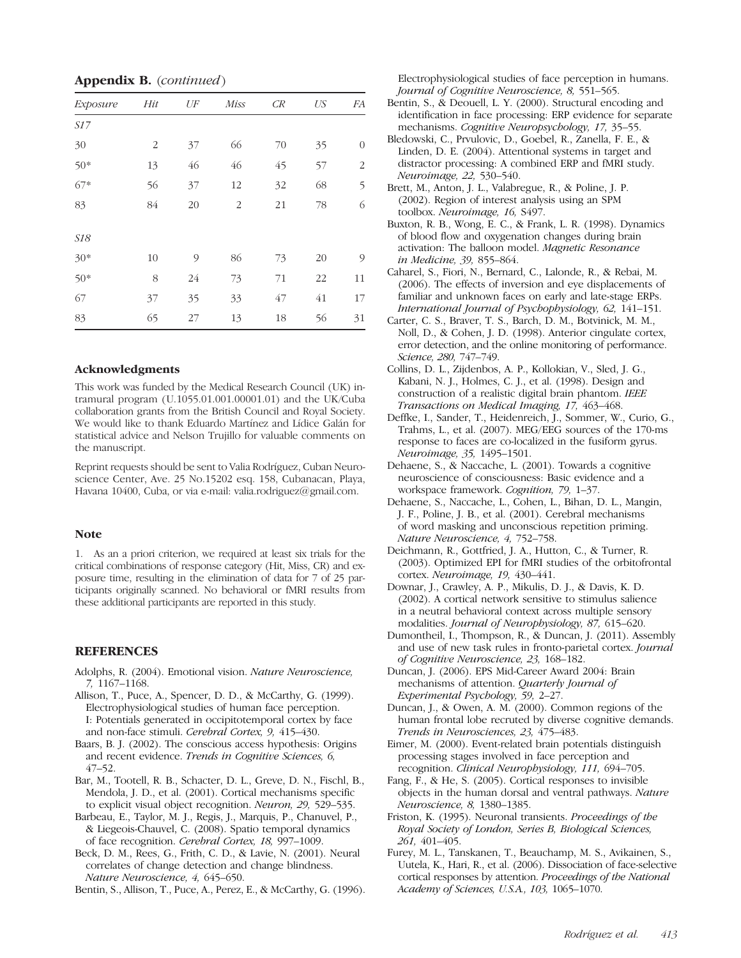Appendix B. (continued)

| Exposure | Hit            | $U\!F$ | Miss           | CR | US | <b>FA</b>      |
|----------|----------------|--------|----------------|----|----|----------------|
| S17      |                |        |                |    |    |                |
| 30       | $\overline{2}$ | 37     | 66             | 70 | 35 | $\overline{0}$ |
| $50*$    | 13             | 46     | 46             | 45 | 57 | $\overline{2}$ |
| 67*      | 56             | 37     | 12             | 32 | 68 | 5              |
| 83       | 84             | 20     | $\overline{c}$ | 21 | 78 | 6              |
|          |                |        |                |    |    |                |
| S18      |                |        |                |    |    |                |
| $30*$    | 10             | 9      | 86             | 73 | 20 | 9              |
| $50*$    | 8              | 24     | 73             | 71 | 22 | 11             |
| 67       | 37             | 35     | 33             | 47 | 41 | 17             |
| 83       | 65             | 27     | 13             | 18 | 56 | 31             |

#### Acknowledgments

This work was funded by the Medical Research Council (UK) intramural program (U.1055.01.001.00001.01) and the UK/Cuba collaboration grants from the British Council and Royal Society. We would like to thank Eduardo Martínez and Lídice Galán for statistical advice and Nelson Trujillo for valuable comments on the manuscript.

Reprint requests should be sent to Valia Rodríguez, Cuban Neuroscience Center, Ave. 25 No.15202 esq. 158, Cubanacan, Playa, Havana 10400, Cuba, or via e-mail: valia.rodriguez@gmail.com.

#### Note

1. As an a priori criterion, we required at least six trials for the critical combinations of response category (Hit, Miss, CR) and exposure time, resulting in the elimination of data for 7 of 25 participants originally scanned. No behavioral or fMRI results from these additional participants are reported in this study.

#### REFERENCES

- Adolphs, R. (2004). Emotional vision. Nature Neuroscience, 7, 1167–1168.
- Allison, T., Puce, A., Spencer, D. D., & McCarthy, G. (1999). Electrophysiological studies of human face perception. I: Potentials generated in occipitotemporal cortex by face and non-face stimuli. Cerebral Cortex, 9, 415–430.
- Baars, B. J. (2002). The conscious access hypothesis: Origins and recent evidence. Trends in Cognitive Sciences, 6, 47–52.
- Bar, M., Tootell, R. B., Schacter, D. L., Greve, D. N., Fischl, B., Mendola, J. D., et al. (2001). Cortical mechanisms specific to explicit visual object recognition. Neuron, 29, 529–535.
- Barbeau, E., Taylor, M. J., Regis, J., Marquis, P., Chanuvel, P., & Liegeois-Chauvel, C. (2008). Spatio temporal dynamics of face recognition. Cerebral Cortex, 18, 997–1009.
- Beck, D. M., Rees, G., Frith, C. D., & Lavie, N. (2001). Neural correlates of change detection and change blindness. Nature Neuroscience, 4, 645–650.

Bentin, S., Allison, T., Puce, A., Perez, E., & McCarthy, G. (1996).

Electrophysiological studies of face perception in humans. Journal of Cognitive Neuroscience, 8, 551–565.

- Bentin, S., & Deouell, L. Y. (2000). Structural encoding and identification in face processing: ERP evidence for separate mechanisms. Cognitive Neuropsychology, 17, 35–55.
- Bledowski, C., Prvulovic, D., Goebel, R., Zanella, F. E., & Linden, D. E. (2004). Attentional systems in target and distractor processing: A combined ERP and fMRI study. Neuroimage, 22, 530–540.
- Brett, M., Anton, J. L., Valabregue, R., & Poline, J. P. (2002). Region of interest analysis using an SPM toolbox. Neuroimage, 16, S497.
- Buxton, R. B., Wong, E. C., & Frank, L. R. (1998). Dynamics of blood flow and oxygenation changes during brain activation: The balloon model. Magnetic Resonance in Medicine, 39, 855–864.
- Caharel, S., Fiori, N., Bernard, C., Lalonde, R., & Rebai, M. (2006). The effects of inversion and eye displacements of familiar and unknown faces on early and late-stage ERPs. International Journal of Psychophysiology, 62, 141–151.
- Carter, C. S., Braver, T. S., Barch, D. M., Botvinick, M. M., Noll, D., & Cohen, J. D. (1998). Anterior cingulate cortex, error detection, and the online monitoring of performance. Science, 280, 747–749.
- Collins, D. L., Zijdenbos, A. P., Kollokian, V., Sled, J. G., Kabani, N. J., Holmes, C. J., et al. (1998). Design and construction of a realistic digital brain phantom. IEEE Transactions on Medical Imaging, 17, 463–468.
- Deffke, I., Sander, T., Heidenreich, J., Sommer, W., Curio, G., Trahms, L., et al. (2007). MEG/EEG sources of the 170-ms response to faces are co-localized in the fusiform gyrus. Neuroimage, 35, 1495–1501.
- Dehaene, S., & Naccache, L. (2001). Towards a cognitive neuroscience of consciousness: Basic evidence and a workspace framework. Cognition, 79, 1–37.
- Dehaene, S., Naccache, L., Cohen, L., Bihan, D. L., Mangin, J. F., Poline, J. B., et al. (2001). Cerebral mechanisms of word masking and unconscious repetition priming. Nature Neuroscience, 4, 752–758.
- Deichmann, R., Gottfried, J. A., Hutton, C., & Turner, R. (2003). Optimized EPI for fMRI studies of the orbitofrontal cortex. Neuroimage, 19, 430–441.
- Downar, J., Crawley, A. P., Mikulis, D. J., & Davis, K. D. (2002). A cortical network sensitive to stimulus salience in a neutral behavioral context across multiple sensory modalities. Journal of Neurophysiology, 87, 615–620.
- Dumontheil, I., Thompson, R., & Duncan, J. (2011). Assembly and use of new task rules in fronto-parietal cortex. Journal of Cognitive Neuroscience, 23, 168–182.
- Duncan, J. (2006). EPS Mid-Career Award 2004: Brain mechanisms of attention. Quarterly Journal of Experimental Psychology, 59, 2–27.
- Duncan, J., & Owen, A. M. (2000). Common regions of the human frontal lobe recruted by diverse cognitive demands. Trends in Neurosciences, 23, 475–483.
- Eimer, M. (2000). Event-related brain potentials distinguish processing stages involved in face perception and recognition. Clinical Neurophysiology, 111, 694-705.
- Fang, F., & He, S. (2005). Cortical responses to invisible objects in the human dorsal and ventral pathways. Nature Neuroscience, 8, 1380–1385.
- Friston, K. (1995). Neuronal transients. Proceedings of the Royal Society of London, Series B, Biological Sciences, 261, 401–405.
- Furey, M. L., Tanskanen, T., Beauchamp, M. S., Avikainen, S., Uutela, K., Hari, R., et al. (2006). Dissociation of face-selective cortical responses by attention. Proceedings of the National Academy of Sciences, U.S.A., 103, 1065–1070.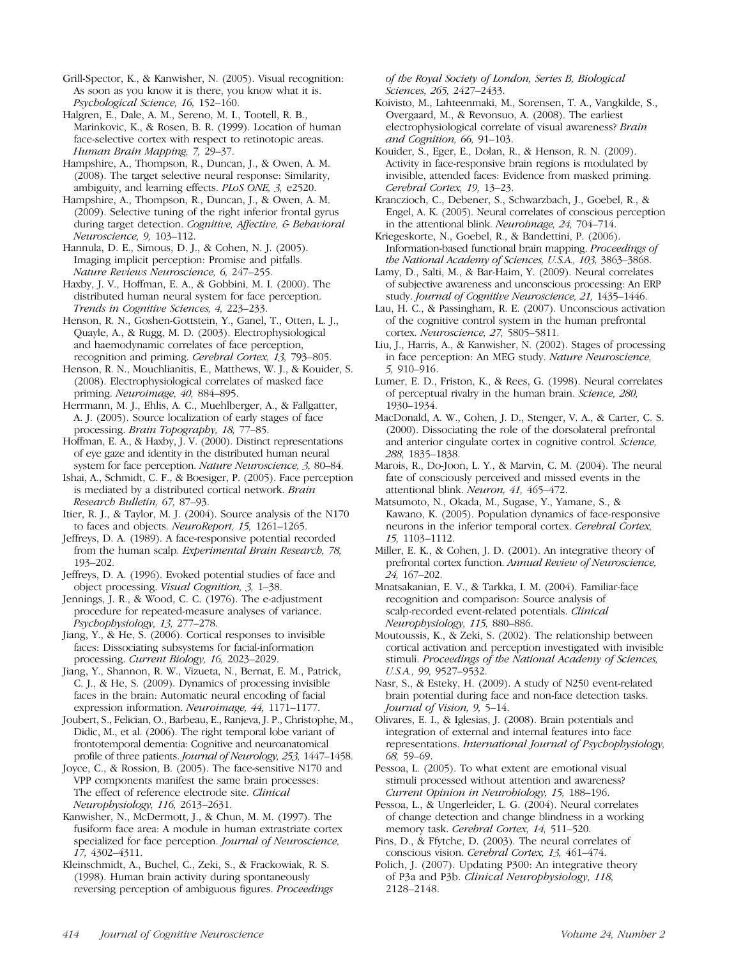Grill-Spector, K., & Kanwisher, N. (2005). Visual recognition: As soon as you know it is there, you know what it is. Psychological Science, 16, 152–160.

Halgren, E., Dale, A. M., Sereno, M. I., Tootell, R. B., Marinkovic, K., & Rosen, B. R. (1999). Location of human face-selective cortex with respect to retinotopic areas. Human Brain Mapping, 7, 29–37.

Hampshire, A., Thompson, R., Duncan, J., & Owen, A. M. (2008). The target selective neural response: Similarity, ambiguity, and learning effects. PLoS ONE, 3, e2520.

Hampshire, A., Thompson, R., Duncan, J., & Owen, A. M. (2009). Selective tuning of the right inferior frontal gyrus during target detection. Cognitive, Affective, & Behavioral Neuroscience, 9, 103–112.

Hannula, D. E., Simous, D. J., & Cohen, N. J. (2005). Imaging implicit perception: Promise and pitfalls. Nature Reviews Neuroscience, 6, 247–255.

Haxby, J. V., Hoffman, E. A., & Gobbini, M. I. (2000). The distributed human neural system for face perception. Trends in Cognitive Sciences, 4, 223–233.

Henson, R. N., Goshen-Gottstein, Y., Ganel, T., Otten, L. J., Quayle, A., & Rugg, M. D. (2003). Electrophysiological and haemodynamic correlates of face perception, recognition and priming. Cerebral Cortex, 13, 793–805.

Henson, R. N., Mouchlianitis, E., Matthews, W. J., & Kouider, S. (2008). Electrophysiological correlates of masked face priming. Neuroimage, 40, 884–895.

Herrmann, M. J., Ehlis, A. C., Muehlberger, A., & Fallgatter, A. J. (2005). Source localization of early stages of face processing. Brain Topography, 18, 77–85.

Hoffman, E. A., & Haxby, J. V. (2000). Distinct representations of eye gaze and identity in the distributed human neural system for face perception. Nature Neuroscience, 3, 80–84.

Ishai, A., Schmidt, C. F., & Boesiger, P. (2005). Face perception is mediated by a distributed cortical network. Brain Research Bulletin, 67, 87–93.

Itier, R. J., & Taylor, M. J. (2004). Source analysis of the N170 to faces and objects. NeuroReport, 15, 1261–1265.

Jeffreys, D. A. (1989). A face-responsive potential recorded from the human scalp. Experimental Brain Research, 78, 193–202.

Jeffreys, D. A. (1996). Evoked potential studies of face and object processing. Visual Cognition, 3, 1–38.

Jennings, J. R., & Wood, C. C. (1976). The e-adjustment procedure for repeated-measure analyses of variance. Psychophysiology, 13, 277–278.

Jiang, Y., & He, S. (2006). Cortical responses to invisible faces: Dissociating subsystems for facial-information processing. Current Biology, 16, 2023–2029.

Jiang, Y., Shannon, R. W., Vizueta, N., Bernat, E. M., Patrick, C. J., & He, S. (2009). Dynamics of processing invisible faces in the brain: Automatic neural encoding of facial expression information. Neuroimage, 44, 1171–1177.

Joubert, S., Felician, O., Barbeau, E., Ranjeva, J. P., Christophe, M., Didic, M., et al. (2006). The right temporal lobe variant of frontotemporal dementia: Cognitive and neuroanatomical profile of three patients. Journal of Neurology, 253, 1447–1458.

Joyce, C., & Rossion, B. (2005). The face-sensitive N170 and VPP components manifest the same brain processes: The effect of reference electrode site. Clinical Neurophysiology, 116, 2613–2631.

Kanwisher, N., McDermott, J., & Chun, M. M. (1997). The fusiform face area: A module in human extrastriate cortex specialized for face perception. Journal of Neuroscience, 17, 4302–4311.

Kleinschmidt, A., Buchel, C., Zeki, S., & Frackowiak, R. S. (1998). Human brain activity during spontaneously reversing perception of ambiguous figures. Proceedings of the Royal Society of London, Series B, Biological Sciences, 265, 2427–2433.

Koivisto, M., Lahteenmaki, M., Sorensen, T. A., Vangkilde, S., Overgaard, M., & Revonsuo, A. (2008). The earliest electrophysiological correlate of visual awareness? Brain and Cognition, 66, 91–103.

Kouider, S., Eger, E., Dolan, R., & Henson, R. N. (2009). Activity in face-responsive brain regions is modulated by invisible, attended faces: Evidence from masked priming. Cerebral Cortex, 19, 13–23.

Kranczioch, C., Debener, S., Schwarzbach, J., Goebel, R., & Engel, A. K. (2005). Neural correlates of conscious perception in the attentional blink. Neuroimage, 24, 704–714.

Kriegeskorte, N., Goebel, R., & Bandettini, P. (2006). Information-based functional brain mapping. Proceedings of the National Academy of Sciences, U.S.A., 103, 3863–3868.

Lamy, D., Salti, M., & Bar-Haim, Y. (2009). Neural correlates of subjective awareness and unconscious processing: An ERP study. Journal of Cognitive Neuroscience, 21, 1435–1446.

Lau, H. C., & Passingham, R. E. (2007). Unconscious activation of the cognitive control system in the human prefrontal cortex. Neuroscience, 27, 5805–5811.

Liu, J., Harris, A., & Kanwisher, N. (2002). Stages of processing in face perception: An MEG study. Nature Neuroscience, 5, 910–916.

Lumer, E. D., Friston, K., & Rees, G. (1998). Neural correlates of perceptual rivalry in the human brain. Science, 280, 1930–1934.

MacDonald, A. W., Cohen, J. D., Stenger, V. A., & Carter, C. S. (2000). Dissociating the role of the dorsolateral prefrontal and anterior cingulate cortex in cognitive control. Science, 288, 1835–1838.

Marois, R., Do-Joon, L. Y., & Marvin, C. M. (2004). The neural fate of consciously perceived and missed events in the attentional blink. Neuron, 41, 465–472.

Matsumoto, N., Okada, M., Sugase, Y., Yamane, S., & Kawano, K. (2005). Population dynamics of face-responsive neurons in the inferior temporal cortex. Cerebral Cortex, 15, 1103–1112.

Miller, E. K., & Cohen, J. D. (2001). An integrative theory of prefrontal cortex function. Annual Review of Neuroscience, 24, 167–202.

Mnatsakanian, E. V., & Tarkka, I. M. (2004). Familiar-face recognition and comparison: Source analysis of scalp-recorded event-related potentials. Clinical Neurophysiology, 115, 880–886.

Moutoussis, K., & Zeki, S. (2002). The relationship between cortical activation and perception investigated with invisible stimuli. Proceedings of the National Academy of Sciences, U.S.A., 99, 9527–9532.

Nasr, S., & Esteky, H. (2009). A study of N250 event-related brain potential during face and non-face detection tasks. Journal of Vision, 9, 5–14.

Olivares, E. I., & Iglesias, J. (2008). Brain potentials and integration of external and internal features into face representations. International Journal of Psychophysiology, 68, 59–69.

Pessoa, L. (2005). To what extent are emotional visual stimuli processed without attention and awareness? Current Opinion in Neurobiology, 15, 188–196.

Pessoa, L., & Ungerleider, L. G. (2004). Neural correlates of change detection and change blindness in a working memory task. Cerebral Cortex, 14, 511–520.

Pins, D., & Ffytche, D. (2003). The neural correlates of conscious vision. Cerebral Cortex, 13, 461–474.

Polich, J. (2007). Updating P300: An integrative theory of P3a and P3b. Clinical Neurophysiology, 118, 2128–2148.